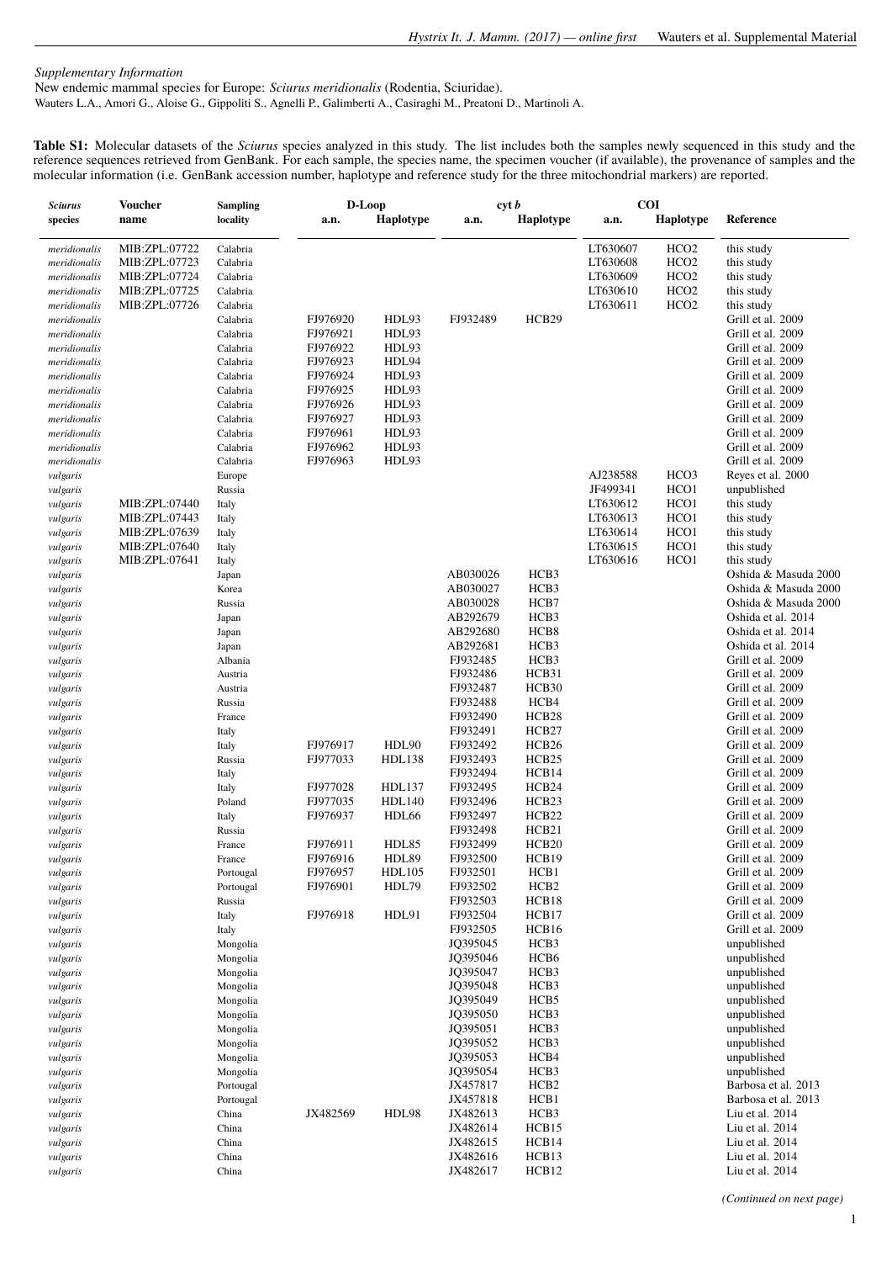# *Supplementary Information*

New endemic mammal species for Europe: *Sciurus meridionalis* (Rodentia, Sciuridae).

Wauters L.A., Amori G., Aloise G., Gippoliti S., Agnelli P., Galimberti A., Casiraghi M., Preatoni D., Martinoli A.

**Table S1:** Molecular datasets of the *Sciurus* species analyzed in this study. The list includes both the samples newly sequenced in this study and the reference sequences retrieved from GenBank. For each sample, the species name, the specimen voucher (if available), the provenance of samples and the molecular information (i.e. GenBank accession number, haplotype and reference study for the three mitochondrial markers) are reported.

| <b>Sciurus</b> | <b>Voucher</b> | <b>Sampling</b> | D-Loop   |                    |          | cyt b             |          | <b>COI</b>       |                      |
|----------------|----------------|-----------------|----------|--------------------|----------|-------------------|----------|------------------|----------------------|
| species        | name           | locality        | a.n.     | <b>Haplotype</b>   | a.n.     | Haplotype         | a.n.     | <b>Haplotype</b> | Reference            |
|                |                |                 |          |                    |          |                   |          |                  |                      |
| meridionalis   | MIB:ZPL:07722  | Calabria        |          |                    |          |                   | LT630607 | HCO <sub>2</sub> | this study           |
| meridionalis   | MIB:ZPL:07723  | Calabria        |          |                    |          |                   | LT630608 | HCO <sub>2</sub> | this study           |
| meridionalis   | MIB:ZPL:07724  | Calabria        |          |                    |          |                   | LT630609 | HCO <sub>2</sub> |                      |
|                |                |                 |          |                    |          |                   |          |                  | this study           |
| meridionalis   | MIB:ZPL:07725  | Calabria        |          |                    |          |                   | LT630610 | HCO <sub>2</sub> | this study           |
| meridionalis   | MIB:ZPL:07726  | Calabria        |          |                    |          |                   | LT630611 | HCO <sub>2</sub> | this study           |
| meridionalis   |                | Calabria        | FJ976920 | HDL93              | FJ932489 | HCB <sub>29</sub> |          |                  | Grill et al. 2009    |
| meridionalis   |                | Calabria        | FJ976921 | HDL93              |          |                   |          |                  | Grill et al. 2009    |
| meridionalis   |                | Calabria        | FJ976922 | HDL93              |          |                   |          |                  | Grill et al. 2009    |
| meridionalis   |                | Calabria        | FJ976923 | HDL94              |          |                   |          |                  | Grill et al. 2009    |
| meridionalis   |                | Calabria        | FJ976924 | HDL93              |          |                   |          |                  | Grill et al. 2009    |
|                |                |                 |          |                    |          |                   |          |                  |                      |
| meridionalis   |                | Calabria        | FJ976925 | HDL93              |          |                   |          |                  | Grill et al. 2009    |
| meridionalis   |                | Calabria        | FJ976926 | HDL93              |          |                   |          |                  | Grill et al. 2009    |
| meridionalis   |                | Calabria        | FJ976927 | HDL93              |          |                   |          |                  | Grill et al. 2009    |
| meridionalis   |                | Calabria        | FJ976961 | HDL93              |          |                   |          |                  | Grill et al. 2009    |
| meridionalis   |                | Calabria        | FJ976962 | HDL93              |          |                   |          |                  | Grill et al. 2009    |
| meridionalis   |                | Calabria        | FJ976963 | HDL93              |          |                   |          |                  | Grill et al. 2009    |
| vulgaris       |                | Europe          |          |                    |          |                   | AJ238588 | HCO <sub>3</sub> | Reyes et al. 2000    |
| vulgaris       |                | Russia          |          |                    |          |                   | JF499341 | HCO <sub>1</sub> | unpublished          |
|                |                |                 |          |                    |          |                   |          |                  |                      |
| vulgaris       | MIB:ZPL:07440  | Italy           |          |                    |          |                   | LT630612 | HCO1             | this study           |
| vulgaris       | MIB:ZPL:07443  | Italy           |          |                    |          |                   | LT630613 | HCO <sub>1</sub> | this study           |
| vulgaris       | MIB:ZPL:07639  | Italy           |          |                    |          |                   | LT630614 | HCO <sub>1</sub> | this study           |
| vulgaris       | MIB:ZPL:07640  | Italy           |          |                    |          |                   | LT630615 | HCO <sub>1</sub> | this study           |
| vulgaris       | MIB:ZPL:07641  | Italy           |          |                    |          |                   | LT630616 | HCO <sub>1</sub> | this study           |
| vulgaris       |                | Japan           |          |                    | AB030026 | HCB3              |          |                  | Oshida & Masuda 2000 |
| vulgaris       |                | Korea           |          |                    | AB030027 | HCB3              |          |                  | Oshida & Masuda 2000 |
|                |                | Russia          |          |                    | AB030028 | HCB7              |          |                  | Oshida & Masuda 2000 |
| vulgaris       |                |                 |          |                    |          |                   |          |                  |                      |
| vulgaris       |                | Japan           |          |                    | AB292679 | HCB3              |          |                  | Oshida et al. 2014   |
| vulgaris       |                | Japan           |          |                    | AB292680 | HCB <sub>8</sub>  |          |                  | Oshida et al. 2014   |
| vulgaris       |                | Japan           |          |                    | AB292681 | HCB3              |          |                  | Oshida et al. 2014   |
| vulgaris       |                | Albania         |          |                    | FJ932485 | HCB3              |          |                  | Grill et al. 2009    |
| vulgaris       |                | Austria         |          |                    | FJ932486 | HCB31             |          |                  | Grill et al. 2009    |
| vulgaris       |                | Austria         |          |                    | FJ932487 | HCB30             |          |                  | Grill et al. 2009    |
| vulgaris       |                | Russia          |          |                    | FJ932488 | HCB4              |          |                  | Grill et al. 2009    |
|                |                | France          |          |                    | FJ932490 | HCB <sub>28</sub> |          |                  | Grill et al. 2009    |
| vulgaris       |                |                 |          |                    |          |                   |          |                  |                      |
| vulgaris       |                | Italy           |          |                    | FJ932491 | HCB27             |          |                  | Grill et al. 2009    |
| vulgaris       |                | Italy           | FJ976917 | HDL90              | FJ932492 | HCB26             |          |                  | Grill et al. 2009    |
| vulgaris       |                | Russia          | FJ977033 | <b>HDL138</b>      | FJ932493 | HCB <sub>25</sub> |          |                  | Grill et al. 2009    |
| vulgaris       |                | Italy           |          |                    | FJ932494 | HCB14             |          |                  | Grill et al. 2009    |
| vulgaris       |                | Italy           | FJ977028 | HDL137             | FJ932495 | HCB24             |          |                  | Grill et al. 2009    |
| vulgaris       |                | Poland          | FJ977035 | <b>HDL140</b>      | FJ932496 | HCB <sub>23</sub> |          |                  | Grill et al. 2009    |
| vulgaris       |                | Italy           | FJ976937 | HDL <sub>66</sub>  | FJ932497 | HCB22             |          |                  | Grill et al. 2009    |
|                |                |                 |          |                    | FJ932498 | HCB21             |          |                  | Grill et al. 2009    |
| vulgaris       |                | Russia          |          |                    |          |                   |          |                  |                      |
| vulgaris       |                | France          | FJ976911 | HDL85              | FJ932499 | HCB <sub>20</sub> |          |                  | Grill et al. 2009    |
| vulgaris       |                | France          | FJ976916 | HDL89              | FJ932500 | HCB19             |          |                  | Grill et al. 2009    |
| vulgaris       |                | Portougal       | FJ976957 | HDL <sub>102</sub> | FJ932501 | HC <sub>R1</sub>  |          |                  | Grill et al. 2009    |
| vulgaris       |                | Portougal       | FJ976901 | HDL79              | FJ932502 | HCB <sub>2</sub>  |          |                  | Grill et al. 2009    |
| vulgaris       |                | Russia          |          |                    | FJ932503 | HCB18             |          |                  | Grill et al. 2009    |
| vulgaris       |                | Italy           | FJ976918 | HDL91              | FJ932504 | HCB17             |          |                  | Grill et al. 2009    |
| vulgaris       |                | Italy           |          |                    | FJ932505 | HCB16             |          |                  | Grill et al. 2009    |
| vulgaris       |                | Mongolia        |          |                    | JO395045 | HCB3              |          |                  | unpublished          |
|                |                |                 |          |                    |          |                   |          |                  |                      |
| vulgaris       |                | Mongolia        |          |                    | JQ395046 | HCB <sub>6</sub>  |          |                  | unpublished          |
| vulgaris       |                | Mongolia        |          |                    | JQ395047 | HCB3              |          |                  | unpublished          |
| vulgaris       |                | Mongolia        |          |                    | JQ395048 | HCB3              |          |                  | unpublished          |
| vulgaris       |                | Mongolia        |          |                    | JQ395049 | HCB <sub>5</sub>  |          |                  | unpublished          |
| vulgaris       |                | Mongolia        |          |                    | JO395050 | HCB3              |          |                  | unpublished          |
| vulgaris       |                | Mongolia        |          |                    | JQ395051 | HCB3              |          |                  | unpublished          |
| vulgaris       |                | Mongolia        |          |                    | JQ395052 | HCB3              |          |                  | unpublished          |
|                |                |                 |          |                    | JQ395053 | HCB4              |          |                  |                      |
| vulgaris       |                | Mongolia        |          |                    |          |                   |          |                  | unpublished          |
| vulgaris       |                | Mongolia        |          |                    | JQ395054 | HCB3              |          |                  | unpublished          |
| vulgaris       |                | Portougal       |          |                    | JX457817 | HCB <sub>2</sub>  |          |                  | Barbosa et al. 2013  |
| vulgaris       |                | Portougal       |          |                    | JX457818 | HCB1              |          |                  | Barbosa et al. 2013  |
| vulgaris       |                | China           | JX482569 | HDL98              | JX482613 | HCB3              |          |                  | Liu et al. 2014      |
| vulgaris       |                | China           |          |                    | JX482614 | HCB15             |          |                  | Liu et al. $2014$    |
| vulgaris       |                | China           |          |                    | JX482615 | HCB14             |          |                  | Liu et al. $2014$    |
| vulgaris       |                | China           |          |                    | JX482616 | HCB13             |          |                  | Liu et al. $2014$    |
|                |                |                 |          |                    |          |                   |          |                  |                      |
| vulgaris       |                | China           |          |                    | JX482617 | HCB12             |          |                  | Liu et al. $2014$    |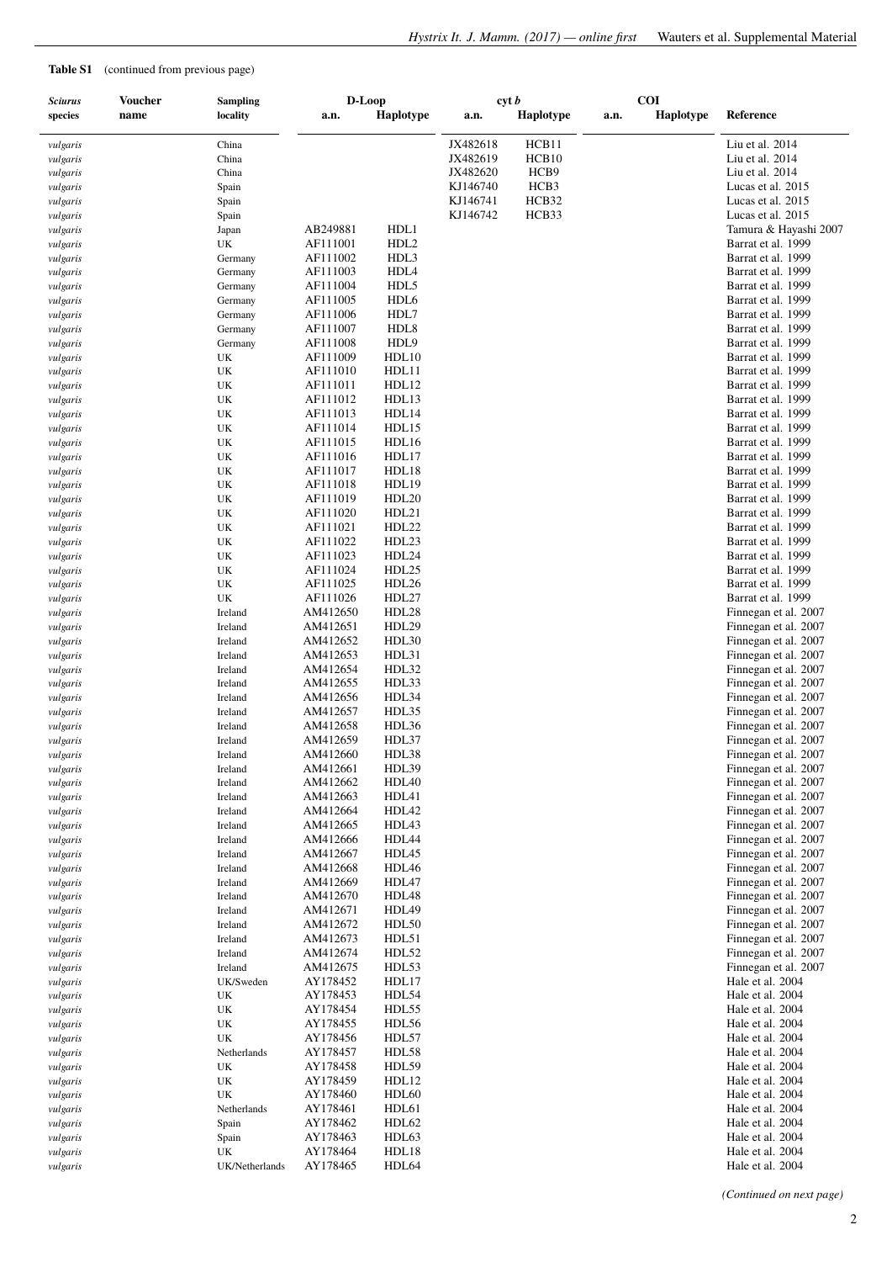| <b>Sciurus</b>       | <b>Voucher</b> | <b>Sampling</b>    |                      | D-Loop                     |          | cyt b     |      | <b>COI</b> |                                              |
|----------------------|----------------|--------------------|----------------------|----------------------------|----------|-----------|------|------------|----------------------------------------------|
| species              | name           | locality           | a.n.                 | Haplotype                  | a.n.     | Haplotype | a.n. | Haplotype  | Reference                                    |
| vulgaris             |                | China              |                      |                            | JX482618 | HCB11     |      |            | Liu et al. 2014                              |
| vulgaris             |                | China              |                      |                            | JX482619 | HCB10     |      |            | Liu et al. 2014                              |
| vulgaris             |                | China              |                      |                            | JX482620 | HCB9      |      |            | Liu et al. $2014$                            |
| vulgaris             |                | Spain              |                      |                            | KJ146740 | HCB3      |      |            | Lucas et al. 2015                            |
| vulgaris             |                | Spain              |                      |                            | KJ146741 | HCB32     |      |            | Lucas et al. 2015                            |
| vulgaris             |                | Spain              |                      |                            | KJ146742 | HCB33     |      |            | Lucas et al. 2015                            |
| vulgaris             |                | Japan<br>UK        | AB249881<br>AF111001 | HDL1<br>HDL <sub>2</sub>   |          |           |      |            | Tamura & Hayashi 2007<br>Barrat et al. 1999  |
| vulgaris<br>vulgaris |                | Germany            | AF111002             | HDL3                       |          |           |      |            | Barrat et al. 1999                           |
| vulgaris             |                | Germany            | AF111003             | HDL <sub>4</sub>           |          |           |      |            | Barrat et al. 1999                           |
| vulgaris             |                | Germany            | AF111004             | HDL5                       |          |           |      |            | Barrat et al. 1999                           |
| vulgaris             |                | Germany            | AF111005             | HDL <sub>6</sub>           |          |           |      |            | Barrat et al. 1999                           |
| vulgaris             |                | Germany            | AF111006             | HDL7                       |          |           |      |            | Barrat et al. 1999                           |
| vulgaris             |                | Germany            | AF111007             | HDL <sub>8</sub>           |          |           |      |            | Barrat et al. 1999                           |
| vulgaris             |                | Germany            | AF111008             | HDL9                       |          |           |      |            | Barrat et al. 1999                           |
| vulgaris             |                | UK                 | AF111009             | HDL10<br>HDL11             |          |           |      |            | Barrat et al. 1999                           |
| vulgaris<br>vulgaris |                | UK<br>UK           | AF111010<br>AF111011 | HDL12                      |          |           |      |            | Barrat et al. 1999<br>Barrat et al. 1999     |
| vulgaris             |                | UK                 | AF111012             | HDL13                      |          |           |      |            | Barrat et al. 1999                           |
| vulgaris             |                | UK                 | AF111013             | HDL14                      |          |           |      |            | Barrat et al. 1999                           |
| vulgaris             |                | UK                 | AF111014             | HDL15                      |          |           |      |            | Barrat et al. 1999                           |
| vulgaris             |                | UK                 | AF111015             | HDL16                      |          |           |      |            | Barrat et al. 1999                           |
| vulgaris             |                | UK                 | AF111016             | HDL17                      |          |           |      |            | Barrat et al. 1999                           |
| vulgaris             |                | UK                 | AF111017             | HDL18                      |          |           |      |            | Barrat et al. 1999                           |
| vulgaris             |                | UK                 | AF111018             | HDL19                      |          |           |      |            | Barrat et al. 1999                           |
| vulgaris             |                | UK<br>UK           | AF111019<br>AF111020 | HDL20<br>HDL21             |          |           |      |            | Barrat et al. 1999<br>Barrat et al. 1999     |
| vulgaris<br>vulgaris |                | UK                 | AF111021             | HDL22                      |          |           |      |            | Barrat et al. 1999                           |
| vulgaris             |                | UK                 | AF111022             | HDL23                      |          |           |      |            | Barrat et al. 1999                           |
| vulgaris             |                | UK                 | AF111023             | HDL24                      |          |           |      |            | Barrat et al. 1999                           |
| vulgaris             |                | UK                 | AF111024             | HDL25                      |          |           |      |            | Barrat et al. 1999                           |
| vulgaris             |                | UK                 | AF111025             | HDL26                      |          |           |      |            | Barrat et al. 1999                           |
| vulgaris             |                | UK                 | AF111026             | HDL27                      |          |           |      |            | Barrat et al. 1999                           |
| vulgaris             |                | Ireland            | AM412650             | HDL28                      |          |           |      |            | Finnegan et al. 2007                         |
| vulgaris             |                | Ireland            | AM412651<br>AM412652 | HDL29<br>HDL30             |          |           |      |            | Finnegan et al. 2007                         |
| vulgaris<br>vulgaris |                | Ireland<br>Ireland | AM412653             | HDL31                      |          |           |      |            | Finnegan et al. 2007<br>Finnegan et al. 2007 |
| vulgaris             |                | Ireland            | AM412654             | HDL32                      |          |           |      |            | Finnegan et al. 2007                         |
| vulgaris             |                | Ireland            | AM412655             | HDL33                      |          |           |      |            | Finnegan et al. 2007                         |
| vulgaris             |                | Ireland            | AM412656             | HDL34                      |          |           |      |            | Finnegan et al. 2007                         |
| vulgaris             |                | Ireland            | AM412657             | HDL35                      |          |           |      |            | Finnegan et al. 2007                         |
| vulgaris             |                | Ireland            | AM412658             | HDL36                      |          |           |      |            | Finnegan et al. 2007                         |
| vulgaris             |                | Ireland<br>Ireland | AM412659<br>AM412660 | HDL37<br>HDL38             |          |           |      |            | Finnegan et al. 2007<br>Finnegan et al. 2007 |
| vulgaris<br>vulgaris |                | Ireland            | AM412661             | HDL39                      |          |           |      |            | Finnegan et al. 2007                         |
| vulgaris             |                | Ireland            | AM412662             | HDL40                      |          |           |      |            | Finnegan et al. 2007                         |
| vulgaris             |                | Ireland            | AM412663             | HDL41                      |          |           |      |            | Finnegan et al. 2007                         |
| vulgaris             |                | Ireland            | AM412664             | HDL42                      |          |           |      |            | Finnegan et al. 2007                         |
| vulgaris             |                | Ireland            | AM412665             | HDL43                      |          |           |      |            | Finnegan et al. 2007                         |
| vulgaris             |                | Ireland            | AM412666             | HDL44                      |          |           |      |            | Finnegan et al. 2007                         |
| vulgaris             |                | Ireland            | AM412667             | HDL45                      |          |           |      |            | Finnegan et al. 2007                         |
| vulgaris<br>vulgaris |                | Ireland<br>Ireland | AM412668<br>AM412669 | HDL46<br>HDL47             |          |           |      |            | Finnegan et al. 2007<br>Finnegan et al. 2007 |
| vulgaris             |                | Ireland            | AM412670             | HDL48                      |          |           |      |            | Finnegan et al. 2007                         |
| vulgaris             |                | Ireland            | AM412671             | HDL49                      |          |           |      |            | Finnegan et al. 2007                         |
| vulgaris             |                | Ireland            | AM412672             | HDL50                      |          |           |      |            | Finnegan et al. 2007                         |
| vulgaris             |                | Ireland            | AM412673             | HDL51                      |          |           |      |            | Finnegan et al. 2007                         |
| vulgaris             |                | Ireland            | AM412674             | HDL52                      |          |           |      |            | Finnegan et al. 2007                         |
| vulgaris             |                | Ireland            | AM412675             | HDL53                      |          |           |      |            | Finnegan et al. 2007                         |
| vulgaris             |                | UK/Sweden          | AY178452             | HDL17                      |          |           |      |            | Hale et al. 2004                             |
| vulgaris<br>vulgaris |                | UK<br>UK           | AY178453<br>AY178454 | HDL54<br>HDL55             |          |           |      |            | Hale et al. 2004<br>Hale et al. 2004         |
| vulgaris             |                | UK                 | AY178455             | HDL56                      |          |           |      |            | Hale et al. 2004                             |
| vulgaris             |                | UK                 | AY178456             | HDL57                      |          |           |      |            | Hale et al. 2004                             |
| vulgaris             |                | Netherlands        | AY178457             | HDL58                      |          |           |      |            | Hale et al. 2004                             |
| vulgaris             |                | UK                 | AY178458             | HDL59                      |          |           |      |            | Hale et al. 2004                             |
| vulgaris             |                | UK                 | AY178459             | HDL12                      |          |           |      |            | Hale et al. 2004                             |
| vulgaris             |                | UK                 | AY178460             | HDL60                      |          |           |      |            | Hale et al. 2004                             |
| vulgaris             |                | Netherlands        | AY178461             | HDL61                      |          |           |      |            | Hale et al. 2004                             |
| vulgaris<br>vulgaris |                | Spain<br>Spain     | AY178462<br>AY178463 | HDL <sub>62</sub><br>HDL63 |          |           |      |            | Hale et al. 2004<br>Hale et al. 2004         |
| vulgaris             |                | UK                 | AY178464             | HDL18                      |          |           |      |            | Hale et al. 2004                             |
| vulgaris             |                | UK/Netherlands     | AY178465             | HDL64                      |          |           |      |            | Hale et al. 2004                             |
|                      |                |                    |                      |                            |          |           |      |            |                                              |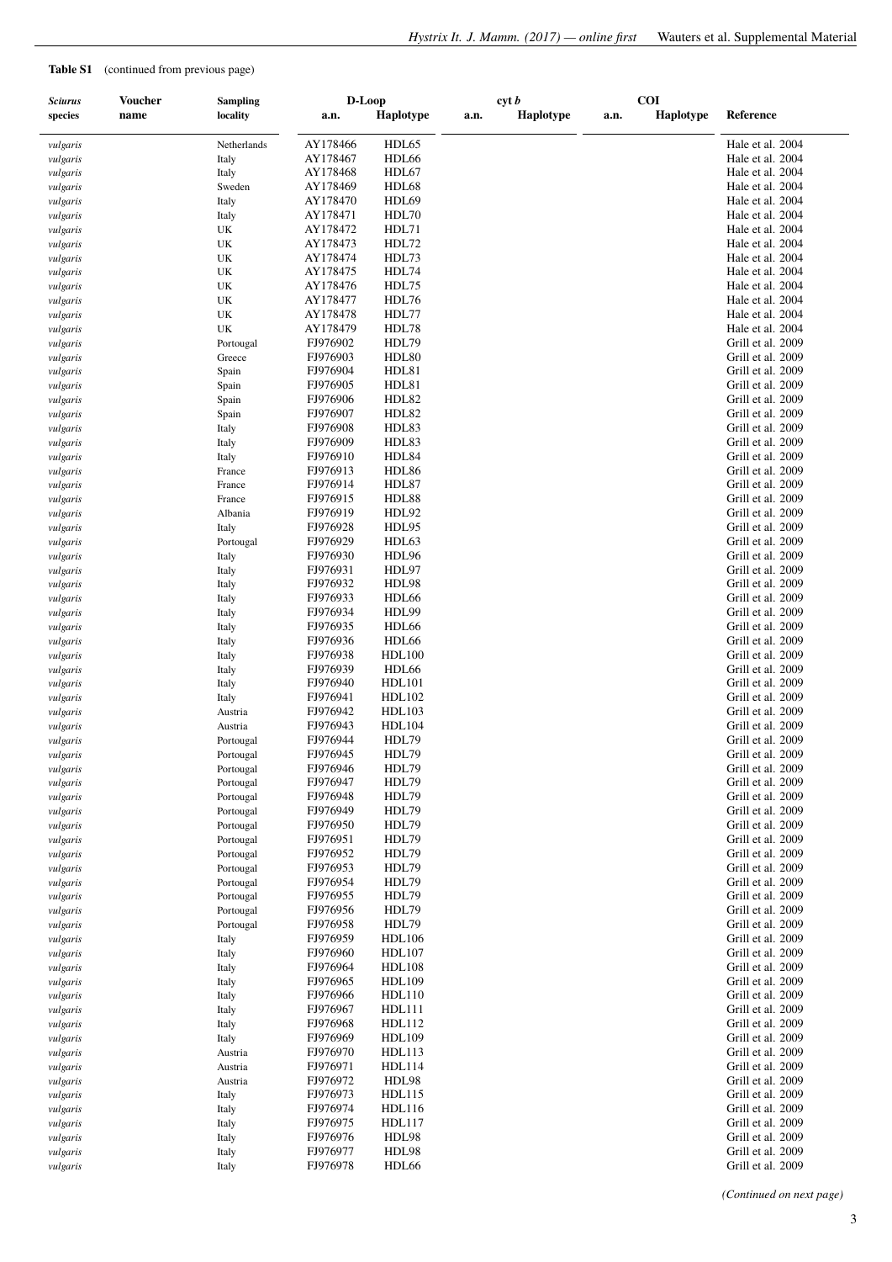| <b>Sciurus</b>       | Voucher | <b>Sampling</b>        |                      | D-Loop                 |      | cyt b     |      | <b>COI</b> |                                        |
|----------------------|---------|------------------------|----------------------|------------------------|------|-----------|------|------------|----------------------------------------|
| species              | name    | locality               | a.n.                 | Haplotype              | a.n. | Haplotype | a.n. | Haplotype  | Reference                              |
|                      |         |                        |                      |                        |      |           |      |            |                                        |
| vulgaris             |         | Netherlands            | AY178466             | HDL65                  |      |           |      |            | Hale et al. 2004                       |
| vulgaris             |         | Italy                  | AY178467             | HDL66                  |      |           |      |            | Hale et al. 2004                       |
| vulgaris             |         | Italy                  | AY178468             | HDL67                  |      |           |      |            | Hale et al. 2004                       |
| vulgaris             |         | Sweden                 | AY178469             | HDL68                  |      |           |      |            | Hale et al. 2004                       |
| vulgaris             |         | Italy                  | AY178470             | HDL69                  |      |           |      |            | Hale et al. 2004                       |
| vulgaris             |         | Italy                  | AY178471             | HDL70                  |      |           |      |            | Hale et al. 2004                       |
| vulgaris             |         | UK                     | AY178472             | HDL71                  |      |           |      |            | Hale et al. 2004                       |
| vulgaris             |         | UK                     | AY178473             | HDL72                  |      |           |      |            | Hale et al. 2004                       |
| vulgaris             |         | UK<br>UK               | AY178474<br>AY178475 | HDL73<br>HDL74         |      |           |      |            | Hale et al. 2004<br>Hale et al. 2004   |
| vulgaris<br>vulgaris |         | UK                     | AY178476             | HDL75                  |      |           |      |            | Hale et al. 2004                       |
| vulgaris             |         | UK                     | AY178477             | HDL76                  |      |           |      |            | Hale et al. 2004                       |
| vulgaris             |         | UK                     | AY178478             | HDL77                  |      |           |      |            | Hale et al. 2004                       |
| vulgaris             |         | UK                     | AY178479             | HDL78                  |      |           |      |            | Hale et al. 2004                       |
| vulgaris             |         | Portougal              | FJ976902             | HDL79                  |      |           |      |            | Grill et al. 2009                      |
| vulgaris             |         | Greece                 | FJ976903             | HDL80                  |      |           |      |            | Grill et al. 2009                      |
| vulgaris             |         | Spain                  | FJ976904             | HDL81                  |      |           |      |            | Grill et al. 2009                      |
| vulgaris             |         | Spain                  | FJ976905             | HDL81                  |      |           |      |            | Grill et al. 2009                      |
| vulgaris             |         | Spain                  | FJ976906             | HDL82                  |      |           |      |            | Grill et al. 2009                      |
| vulgaris             |         | Spain                  | FJ976907             | HDL82                  |      |           |      |            | Grill et al. 2009                      |
| vulgaris             |         | Italy                  | FJ976908             | HDL83                  |      |           |      |            | Grill et al. 2009                      |
| vulgaris             |         | Italy                  | FJ976909             | HDL83                  |      |           |      |            | Grill et al. 2009                      |
| vulgaris             |         | Italy                  | FJ976910             | HDL84                  |      |           |      |            | Grill et al. 2009                      |
| vulgaris             |         | France                 | FJ976913             | HDL86                  |      |           |      |            | Grill et al. 2009                      |
| vulgaris             |         | France                 | FJ976914             | HDL87                  |      |           |      |            | Grill et al. 2009                      |
| vulgaris             |         | France                 | FJ976915             | HDL88                  |      |           |      |            | Grill et al. 2009                      |
| vulgaris             |         | Albania                | FJ976919             | HDL92                  |      |           |      |            | Grill et al. 2009                      |
| vulgaris             |         | Italy                  | FJ976928             | HDL95                  |      |           |      |            | Grill et al. 2009                      |
| vulgaris             |         | Portougal              | FJ976929<br>FJ976930 | HDL63<br>HDL96         |      |           |      |            | Grill et al. 2009<br>Grill et al. 2009 |
| vulgaris<br>vulgaris |         | Italy<br>Italy         | FJ976931             | HDL97                  |      |           |      |            | Grill et al. 2009                      |
| vulgaris             |         | Italy                  | FJ976932             | HDL98                  |      |           |      |            | Grill et al. 2009                      |
| vulgaris             |         | Italy                  | FJ976933             | HDL66                  |      |           |      |            | Grill et al. 2009                      |
| vulgaris             |         | Italy                  | FJ976934             | HDL99                  |      |           |      |            | Grill et al. 2009                      |
| vulgaris             |         | Italy                  | FJ976935             | HDL66                  |      |           |      |            | Grill et al. 2009                      |
| vulgaris             |         | Italy                  | FJ976936             | HDL66                  |      |           |      |            | Grill et al. 2009                      |
| vulgaris             |         | Italy                  | FJ976938             | <b>HDL100</b>          |      |           |      |            | Grill et al. 2009                      |
| vulgaris             |         | Italy                  | FJ976939             | HDL <sub>66</sub>      |      |           |      |            | Grill et al. 2009                      |
| vulgaris             |         | Italy                  | FJ976940             | <b>HDL101</b>          |      |           |      |            | Grill et al. 2009                      |
| vulgaris             |         | Italy                  | FJ976941             | HDL102                 |      |           |      |            | Grill et al. 2009                      |
| vulgaris             |         | Austria                | FJ976942             | HDL103                 |      |           |      |            | Grill et al. 2009                      |
| vulgaris             |         | Austria                | FJ976943             | <b>HDL104</b>          |      |           |      |            | Grill et al. 2009                      |
| vulgaris             |         | Portougal              | FJ976944             | HDL79                  |      |           |      |            | Grill et al. 2009                      |
| vulgaris             |         | Portougal              | FJ976945             | HDL79                  |      |           |      |            | Grill et al. 2009                      |
| vulgaris             |         | Portougal              | FJ976946             | HDL79                  |      |           |      |            | Grill et al. 2009                      |
| vulgaris             |         | Portougal              | FJ976947             | HDL79                  |      |           |      |            | Grill et al. 2009                      |
| vulgaris             |         | Portougal              | FJ976948             | HDL79                  |      |           |      |            | Grill et al. 2009                      |
| vulgaris             |         | Portougal              | FJ976949<br>FJ976950 | HDL79                  |      |           |      |            | Grill et al. 2009<br>Grill et al. 2009 |
| vulgaris             |         | Portougal              | FJ976951             | HDL79<br>HDL79         |      |           |      |            | Grill et al. 2009                      |
| vulgaris<br>vulgaris |         | Portougal<br>Portougal | FJ976952             | HDL79                  |      |           |      |            | Grill et al. 2009                      |
| vulgaris             |         | Portougal              | FJ976953             | HDL79                  |      |           |      |            | Grill et al. 2009                      |
| vulgaris             |         | Portougal              | FJ976954             | HDL79                  |      |           |      |            | Grill et al. 2009                      |
| vulgaris             |         | Portougal              | FJ976955             | HDL79                  |      |           |      |            | Grill et al. 2009                      |
| vulgaris             |         | Portougal              | FJ976956             | HDL79                  |      |           |      |            | Grill et al. 2009                      |
| vulgaris             |         | Portougal              | FJ976958             | HDL79                  |      |           |      |            | Grill et al. 2009                      |
| vulgaris             |         | Italy                  | FJ976959             | <b>HDL106</b>          |      |           |      |            | Grill et al. 2009                      |
| vulgaris             |         | Italy                  | FJ976960             | <b>HDL107</b>          |      |           |      |            | Grill et al. 2009                      |
| vulgaris             |         | Italy                  | FJ976964             | <b>HDL108</b>          |      |           |      |            | Grill et al. 2009                      |
| vulgaris             |         | Italy                  | FJ976965             | <b>HDL109</b>          |      |           |      |            | Grill et al. 2009                      |
| vulgaris             |         | Italy                  | FJ976966             | HDL110                 |      |           |      |            | Grill et al. 2009                      |
| vulgaris             |         | Italy                  | FJ976967             | <b>HDL111</b>          |      |           |      |            | Grill et al. 2009                      |
| vulgaris             |         | Italy                  | FJ976968             | HDL112                 |      |           |      |            | Grill et al. 2009                      |
| vulgaris             |         | Italy                  | FJ976969             | <b>HDL109</b>          |      |           |      |            | Grill et al. 2009                      |
| vulgaris             |         | Austria                | FJ976970             | <b>HDL113</b>          |      |           |      |            | Grill et al. 2009                      |
| vulgaris             |         | Austria                | FJ976971             | <b>HDL114</b>          |      |           |      |            | Grill et al. 2009                      |
| vulgaris             |         | Austria                | FJ976972             | HDL98                  |      |           |      |            | Grill et al. 2009                      |
| vulgaris             |         | Italy                  | FJ976973             | <b>HDL115</b>          |      |           |      |            | Grill et al. 2009                      |
| vulgaris             |         | Italy                  | FJ976974             | <b>HDL116</b>          |      |           |      |            | Grill et al. 2009                      |
| vulgaris             |         | Italy                  | FJ976975<br>FJ976976 | <b>HDL117</b><br>HDL98 |      |           |      |            | Grill et al. 2009<br>Grill et al. 2009 |
| vulgaris<br>vulgaris |         | Italy<br>Italy         | FJ976977             | HDL98                  |      |           |      |            | Grill et al. 2009                      |
| vulgaris             |         | Italy                  | FJ976978             | HDL66                  |      |           |      |            | Grill et al. 2009                      |
|                      |         |                        |                      |                        |      |           |      |            |                                        |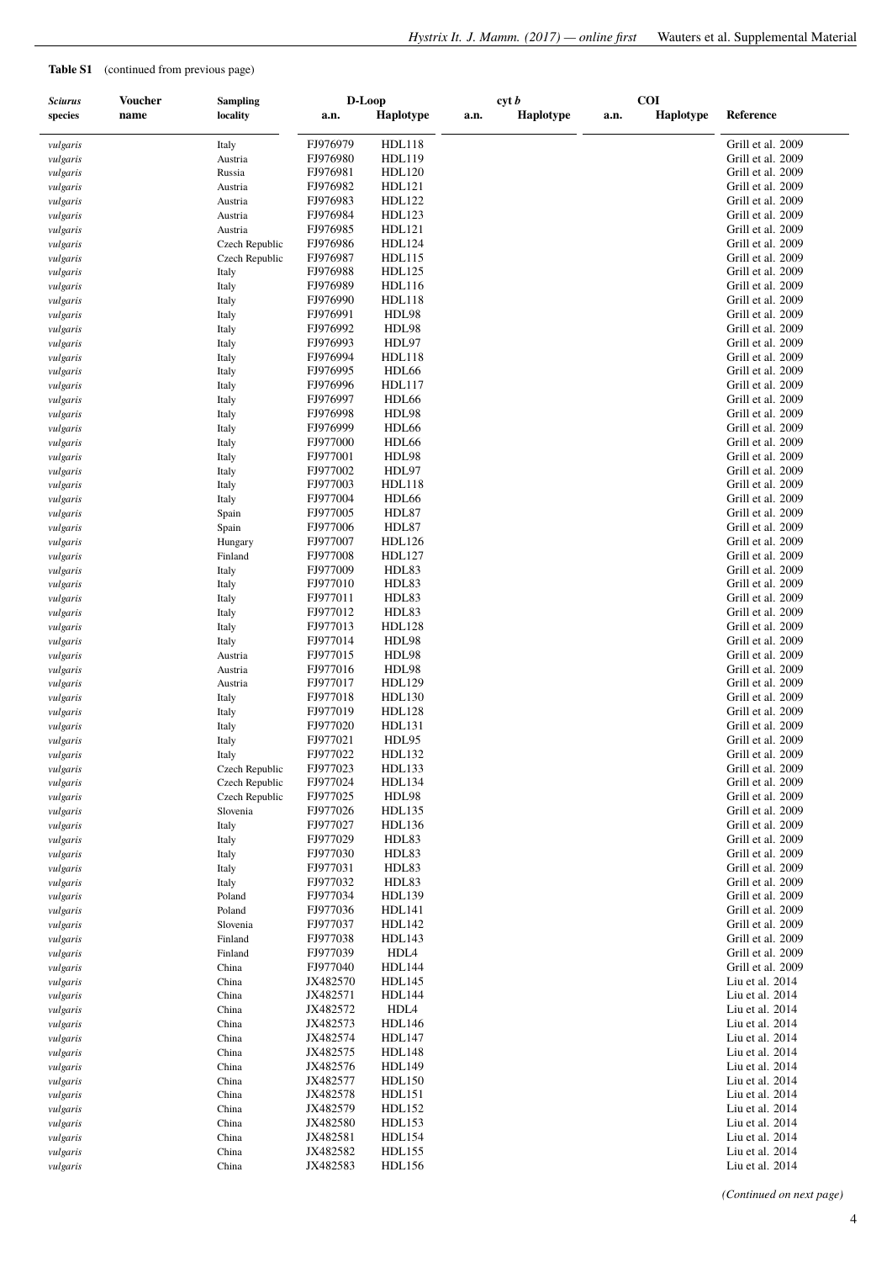| <b>Sciurus</b>       | Voucher | <b>Sampling</b>                  |                      | D-Loop                  |      | cyt b     |      | <b>COI</b> |                                        |
|----------------------|---------|----------------------------------|----------------------|-------------------------|------|-----------|------|------------|----------------------------------------|
| species              | name    | locality                         | a.n.                 | Haplotype               | a.n. | Haplotype | a.n. | Haplotype  | Reference                              |
|                      |         |                                  |                      |                         |      |           |      |            |                                        |
| vulgaris             |         | Italy                            | FJ976979             | <b>HDL118</b>           |      |           |      |            | Grill et al. 2009                      |
| vulgaris             |         | Austria                          | FJ976980             | <b>HDL119</b>           |      |           |      |            | Grill et al. 2009                      |
| vulgaris             |         | Russia                           | FJ976981             | <b>HDL120</b>           |      |           |      |            | Grill et al. 2009                      |
| vulgaris             |         | Austria<br>Austria               | FJ976982<br>FJ976983 | HDL121<br>HDL122        |      |           |      |            | Grill et al. 2009<br>Grill et al. 2009 |
| vulgaris<br>vulgaris |         | Austria                          | FJ976984             | HDL123                  |      |           |      |            | Grill et al. 2009                      |
| vulgaris             |         | Austria                          | FJ976985             | HDL121                  |      |           |      |            | Grill et al. 2009                      |
| vulgaris             |         | Czech Republic                   | FJ976986             | <b>HDL124</b>           |      |           |      |            | Grill et al. 2009                      |
| vulgaris             |         | Czech Republic                   | FJ976987             | <b>HDL115</b>           |      |           |      |            | Grill et al. 2009                      |
| vulgaris             |         | Italy                            | FJ976988             | HDL125                  |      |           |      |            | Grill et al. 2009                      |
| vulgaris             |         | Italy                            | FJ976989             | HDL116                  |      |           |      |            | Grill et al. 2009                      |
| vulgaris             |         | Italy                            | FJ976990             | <b>HDL118</b>           |      |           |      |            | Grill et al. 2009                      |
| vulgaris             |         | Italy                            | FJ976991             | HDL98                   |      |           |      |            | Grill et al. 2009                      |
| vulgaris             |         | Italy                            | FJ976992             | HDL98                   |      |           |      |            | Grill et al. 2009                      |
| vulgaris             |         | Italy                            | FJ976993             | HDL97                   |      |           |      |            | Grill et al. 2009                      |
| vulgaris             |         | Italy                            | FJ976994             | <b>HDL118</b>           |      |           |      |            | Grill et al. 2009                      |
| vulgaris             |         | Italy                            | FJ976995             | HDL <sub>66</sub>       |      |           |      |            | Grill et al. 2009                      |
| vulgaris             |         | Italy                            | FJ976996<br>FJ976997 | <b>HDL117</b><br>HDL66  |      |           |      |            | Grill et al. 2009<br>Grill et al. 2009 |
| vulgaris<br>vulgaris |         | Italy<br>Italy                   | FJ976998             | HDL98                   |      |           |      |            | Grill et al. 2009                      |
| vulgaris             |         | Italy                            | FJ976999             | HDL66                   |      |           |      |            | Grill et al. 2009                      |
| vulgaris             |         | Italy                            | FJ977000             | HDL66                   |      |           |      |            | Grill et al. 2009                      |
| vulgaris             |         | Italy                            | FJ977001             | HDL98                   |      |           |      |            | Grill et al. 2009                      |
| vulgaris             |         | Italy                            | FJ977002             | HDL97                   |      |           |      |            | Grill et al. 2009                      |
| vulgaris             |         | Italy                            | FJ977003             | <b>HDL118</b>           |      |           |      |            | Grill et al. 2009                      |
| vulgaris             |         | Italy                            | FJ977004             | HDL <sub>66</sub>       |      |           |      |            | Grill et al. 2009                      |
| vulgaris             |         | Spain                            | FJ977005             | HDL87                   |      |           |      |            | Grill et al. 2009                      |
| vulgaris             |         | Spain                            | FJ977006             | HDL87                   |      |           |      |            | Grill et al. 2009                      |
| vulgaris             |         | Hungary                          | FJ977007             | <b>HDL126</b>           |      |           |      |            | Grill et al. 2009                      |
| vulgaris             |         | Finland                          | FJ977008             | <b>HDL127</b>           |      |           |      |            | Grill et al. 2009                      |
| vulgaris             |         | Italy                            | FJ977009             | HDL83                   |      |           |      |            | Grill et al. 2009                      |
| vulgaris             |         | Italy                            | FJ977010             | HDL83                   |      |           |      |            | Grill et al. 2009                      |
| vulgaris<br>vulgaris |         | Italy<br>Italy                   | FJ977011<br>FJ977012 | HDL83<br>HDL83          |      |           |      |            | Grill et al. 2009<br>Grill et al. 2009 |
| vulgaris             |         | Italy                            | FJ977013             | <b>HDL128</b>           |      |           |      |            | Grill et al. 2009                      |
| vulgaris             |         | Italy                            | FJ977014             | HDL98                   |      |           |      |            | Grill et al. 2009                      |
| vulgaris             |         | Austria                          | FJ977015             | HDL98                   |      |           |      |            | Grill et al. 2009                      |
| vulgaris             |         | Austria                          | FJ977016             | HDL98                   |      |           |      |            | Grill et al. 2009                      |
| vulgaris             |         | Austria                          | FJ977017             | <b>HDL129</b>           |      |           |      |            | Grill et al. 2009                      |
| vulgaris             |         | Italy                            | FJ977018             | <b>HDL130</b>           |      |           |      |            | Grill et al. 2009                      |
| vulgaris             |         | Italy                            | FJ977019             | <b>HDL128</b>           |      |           |      |            | Grill et al. 2009                      |
| vulgaris             |         | Italy                            | FJ977020             | <b>HDL131</b>           |      |           |      |            | Grill et al. 2009                      |
| vulgaris             |         | Italy                            | FJ977021             | HDL95                   |      |           |      |            | Grill et al. 2009                      |
| vulgaris             |         | Italy                            | FJ977022             | <b>HDL132</b>           |      |           |      |            | Grill et al. 2009                      |
| vulgaris             |         | Czech Republic                   | FJ977023             | HDL133                  |      |           |      |            | Grill et al. 2009                      |
| vulgaris<br>vulgaris |         | Czech Republic<br>Czech Republic | FJ977024<br>FJ977025 | <b>HDL134</b><br>HDL98  |      |           |      |            | Grill et al. 2009<br>Grill et al. 2009 |
| vulgaris             |         | Slovenia                         | FJ977026             | HDL135                  |      |           |      |            | Grill et al. 2009                      |
| vulgaris             |         | Italy                            | FJ977027             | <b>HDL136</b>           |      |           |      |            | Grill et al. 2009                      |
| vulgaris             |         | Italy                            | FJ977029             | HDL83                   |      |           |      |            | Grill et al. 2009                      |
| vulgaris             |         | Italy                            | FJ977030             | HDL83                   |      |           |      |            | Grill et al. 2009                      |
| vulgaris             |         | Italy                            | FJ977031             | HDL83                   |      |           |      |            | Grill et al. 2009                      |
| vulgaris             |         | Italy                            | FJ977032             | HDL83                   |      |           |      |            | Grill et al. 2009                      |
| vulgaris             |         | Poland                           | FJ977034             | <b>HDL139</b>           |      |           |      |            | Grill et al. 2009                      |
| vulgaris             |         | Poland                           | FJ977036             | <b>HDL141</b>           |      |           |      |            | Grill et al. 2009                      |
| vulgaris             |         | Slovenia                         | FJ977037             | HDL142                  |      |           |      |            | Grill et al. 2009                      |
| vulgaris             |         | Finland                          | FJ977038             | <b>HDL143</b>           |      |           |      |            | Grill et al. 2009                      |
| vulgaris<br>vulgaris |         | Finland<br>China                 | FJ977039<br>FJ977040 | HDL4<br><b>HDL144</b>   |      |           |      |            | Grill et al. 2009<br>Grill et al. 2009 |
| vulgaris             |         | China                            | JX482570             | <b>HDL145</b>           |      |           |      |            | Liu et al. 2014                        |
| vulgaris             |         | China                            | JX482571             | <b>HDL144</b>           |      |           |      |            | Liu et al. 2014                        |
| vulgaris             |         | China                            | JX482572             | HDL4                    |      |           |      |            | Liu et al. 2014                        |
| vulgaris             |         | China                            | JX482573             | <b>HDL146</b>           |      |           |      |            | Liu et al. 2014                        |
| vulgaris             |         | China                            | JX482574             | <b>HDL147</b>           |      |           |      |            | Liu et al. 2014                        |
| vulgaris             |         | China                            | JX482575             | <b>HDL148</b>           |      |           |      |            | Liu et al. $2014$                      |
| vulgaris             |         | China                            | JX482576             | <b>HDL149</b>           |      |           |      |            | Liu et al. 2014                        |
| vulgaris             |         | China                            | JX482577             | <b>HDL150</b>           |      |           |      |            | Liu et al. 2014                        |
| vulgaris             |         | China                            | JX482578             | HDL151                  |      |           |      |            | Liu et al. 2014                        |
| vulgaris             |         | China                            | JX482579             | HDL152                  |      |           |      |            | Liu et al. 2014                        |
| vulgaris             |         | China                            | JX482580             | HDL153                  |      |           |      |            | Liu et al. $2014$                      |
| vulgaris             |         | China<br>China                   | JX482581<br>JX482582 | HDL154<br><b>HDL155</b> |      |           |      |            | Liu et al. $2014$<br>Liu et al. 2014   |
| vulgaris<br>vulgaris |         | China                            | JX482583             | HDL156                  |      |           |      |            | Liu et al. 2014                        |
|                      |         |                                  |                      |                         |      |           |      |            |                                        |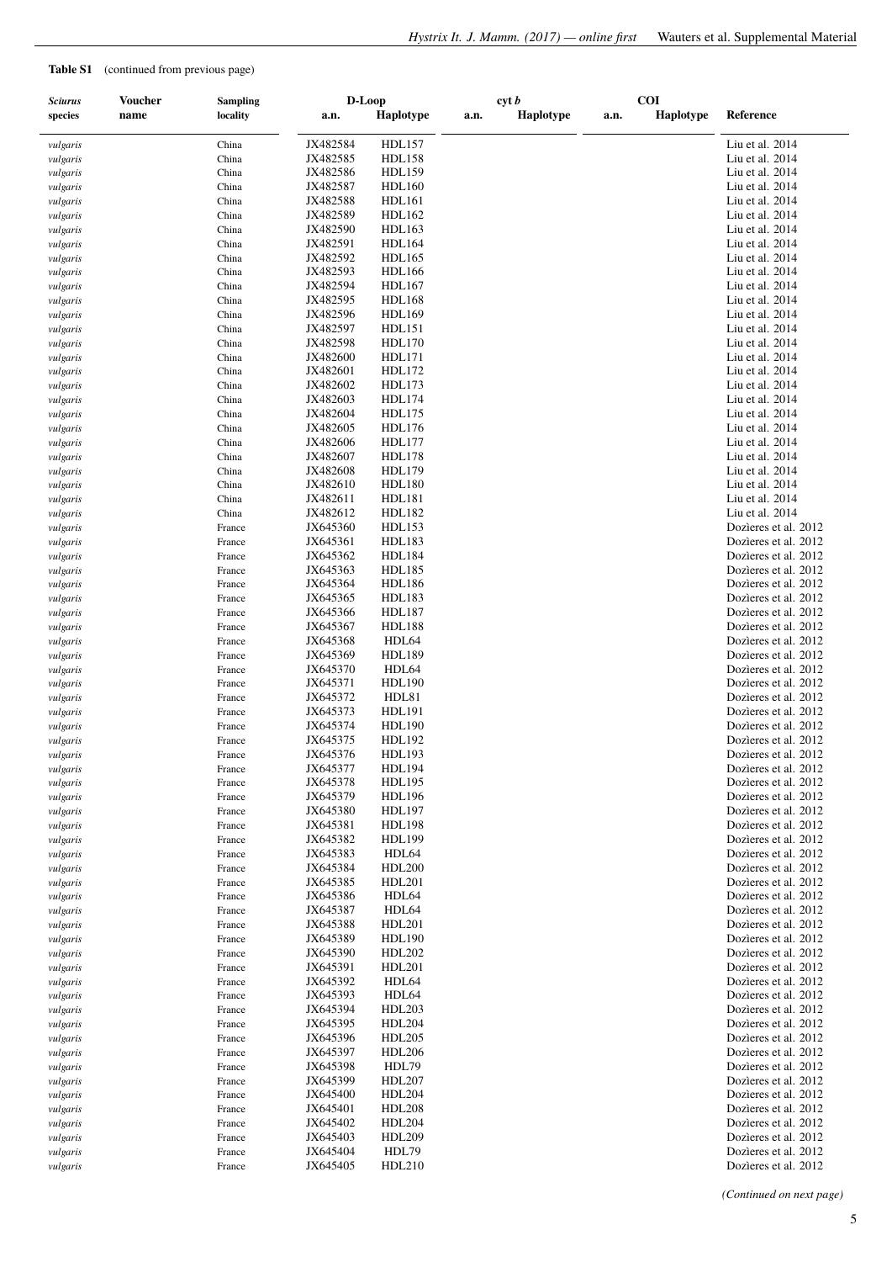| <b>Sciurus</b>       | Voucher | <b>Sampling</b>  | D-Loop               |                                |      | cyt b     |      | <b>COI</b>       |                                              |
|----------------------|---------|------------------|----------------------|--------------------------------|------|-----------|------|------------------|----------------------------------------------|
| species              | name    | locality         | a.n.                 | Haplotype                      | a.n. | Haplotype | a.n. | <b>Haplotype</b> | Reference                                    |
|                      |         |                  |                      | <b>HDL157</b>                  |      |           |      |                  |                                              |
| vulgaris<br>vulgaris |         | China<br>China   | JX482584<br>JX482585 | <b>HDL158</b>                  |      |           |      |                  | Liu et al. 2014<br>Liu et al. 2014           |
| vulgaris             |         | China            | JX482586             | <b>HDL159</b>                  |      |           |      |                  | Liu et al. 2014                              |
| vulgaris             |         | China            | JX482587             | <b>HDL160</b>                  |      |           |      |                  | Liu et al. 2014                              |
| vulgaris             |         | China            | JX482588             | <b>HDL161</b>                  |      |           |      |                  | Liu et al. 2014                              |
| vulgaris             |         | China            | JX482589             | HDL162                         |      |           |      |                  | Liu et al. $2014$                            |
| vulgaris             |         | China            | JX482590             | HDL163                         |      |           |      |                  | Liu et al. $2014$                            |
| vulgaris             |         | China            | JX482591             | <b>HDL164</b>                  |      |           |      |                  | Liu et al. 2014                              |
| vulgaris             |         | China<br>China   | JX482592<br>JX482593 | HDL165<br><b>HDL166</b>        |      |           |      |                  | Liu et al. 2014<br>Liu et al. $2014$         |
| vulgaris<br>vulgaris |         | China            | JX482594             | <b>HDL167</b>                  |      |           |      |                  | Liu et al. 2014                              |
| vulgaris             |         | China            | JX482595             | <b>HDL168</b>                  |      |           |      |                  | Liu et al. 2014                              |
| vulgaris             |         | China            | JX482596             | HDL169                         |      |           |      |                  | Liu et al. $2014$                            |
| vulgaris             |         | China            | JX482597             | HDL151                         |      |           |      |                  | Liu et al. 2014                              |
| vulgaris             |         | China            | JX482598             | <b>HDL170</b>                  |      |           |      |                  | Liu et al. $2014$                            |
| vulgaris             |         | China            | JX482600             | <b>HDL171</b>                  |      |           |      |                  | Liu et al. 2014                              |
| vulgaris             |         | China            | JX482601             | HDL172                         |      |           |      |                  | Liu et al. 2014                              |
| vulgaris<br>vulgaris |         | China<br>China   | JX482602<br>JX482603 | HDL173<br><b>HDL174</b>        |      |           |      |                  | Liu et al. 2014<br>Liu et al. $2014$         |
| vulgaris             |         | China            | JX482604             | <b>HDL175</b>                  |      |           |      |                  | Liu et al. 2014                              |
| vulgaris             |         | China            | JX482605             | <b>HDL176</b>                  |      |           |      |                  | Liu et al. 2014                              |
| vulgaris             |         | China            | JX482606             | <b>HDL177</b>                  |      |           |      |                  | Liu et al. $2014$                            |
| vulgaris             |         | China            | JX482607             | <b>HDL178</b>                  |      |           |      |                  | Liu et al. $2014$                            |
| vulgaris             |         | China            | JX482608             | <b>HDL179</b>                  |      |           |      |                  | Liu et al. 2014                              |
| vulgaris             |         | China            | JX482610             | <b>HDL180</b>                  |      |           |      |                  | Liu et al. $2014$                            |
| vulgaris             |         | China            | JX482611             | HDL181                         |      |           |      |                  | Liu et al. 2014                              |
| vulgaris             |         | China<br>France  | JX482612<br>JX645360 | HDL182<br>HDL153               |      |           |      |                  | Liu et al. 2014<br>Dozieres et al. 2012      |
| vulgaris<br>vulgaris |         | France           | JX645361             | HDL183                         |      |           |      |                  | Dozieres et al. 2012                         |
| vulgaris             |         | France           | JX645362             | HDL184                         |      |           |      |                  | Dozieres et al. 2012                         |
| vulgaris             |         | France           | JX645363             | HDL185                         |      |           |      |                  | Dozieres et al. 2012                         |
| vulgaris             |         | France           | JX645364             | <b>HDL186</b>                  |      |           |      |                  | Dozieres et al. 2012                         |
| vulgaris             |         | France           | JX645365             | HDL183                         |      |           |      |                  | Dozieres et al. 2012                         |
| vulgaris             |         | France           | JX645366             | <b>HDL187</b>                  |      |           |      |                  | Dozieres et al. 2012                         |
| vulgaris             |         | France           | JX645367             | <b>HDL188</b>                  |      |           |      |                  | Dozieres et al. 2012                         |
| vulgaris<br>vulgaris |         | France<br>France | JX645368<br>JX645369 | HDL64<br>HDL189                |      |           |      |                  | Dozieres et al. 2012<br>Dozieres et al. 2012 |
| vulgaris             |         | France           | JX645370             | HDL64                          |      |           |      |                  | Dozieres et al. 2012                         |
| vulgaris             |         | France           | JX645371             | <b>HDL190</b>                  |      |           |      |                  | Dozieres et al. 2012                         |
| vulgaris             |         | France           | JX645372             | HDL81                          |      |           |      |                  | Dozieres et al. 2012                         |
| vulgaris             |         | France           | JX645373             | <b>HDL191</b>                  |      |           |      |                  | Dozieres et al. 2012                         |
| vulgaris             |         | France           | JX645374             | <b>HDL190</b>                  |      |           |      |                  | Dozieres et al. 2012                         |
| vulgaris             |         | France           | JX645375             | HDL192                         |      |           |      |                  | Dozieres et al. 2012                         |
| vulgaris             |         | France           | JX645376<br>JX645377 | <b>HDL193</b>                  |      |           |      |                  | Dozieres et al. 2012                         |
| vulgaris<br>vulgaris |         | France<br>France | JX645378             | <b>HDL194</b><br><b>HDL195</b> |      |           |      |                  | Dozieres et al. 2012<br>Dozieres et al. 2012 |
| vulgaris             |         | France           | JX645379             | HDL196                         |      |           |      |                  | Dozieres et al. 2012                         |
| vulgaris             |         | France           | JX645380             | <b>HDL197</b>                  |      |           |      |                  | Dozieres et al. 2012                         |
| vulgaris             |         | France           | JX645381             | <b>HDL198</b>                  |      |           |      |                  | Dozieres et al. 2012                         |
| vulgaris             |         | France           | JX645382             | <b>HDL199</b>                  |      |           |      |                  | Dozieres et al. 2012                         |
| vulgaris             |         | France           | JX645383             | HDL64                          |      |           |      |                  | Dozieres et al. 2012                         |
| vulgaris             |         | France           | JX645384             | <b>HDL200</b>                  |      |           |      |                  | Dozieres et al. 2012                         |
| vulgaris<br>vulgaris |         | France<br>France | JX645385<br>JX645386 | <b>HDL201</b><br>HDL64         |      |           |      |                  | Dozieres et al. 2012<br>Dozieres et al. 2012 |
| vulgaris             |         | France           | JX645387             | HDL64                          |      |           |      |                  | Dozieres et al. 2012                         |
| vulgaris             |         | France           | JX645388             | HDL201                         |      |           |      |                  | Dozieres et al. 2012                         |
| vulgaris             |         | France           | JX645389             | HDL190                         |      |           |      |                  | Dozieres et al. 2012                         |
| vulgaris             |         | France           | JX645390             | HDL202                         |      |           |      |                  | Dozieres et al. 2012                         |
| vulgaris             |         | France           | JX645391             | <b>HDL201</b>                  |      |           |      |                  | Dozieres et al. 2012                         |
| vulgaris             |         | France           | JX645392             | HDL64                          |      |           |      |                  | Dozieres et al. 2012                         |
| vulgaris             |         | France           | JX645393             | HDL64                          |      |           |      |                  | Dozieres et al. 2012                         |
| vulgaris             |         | France           | JX645394             | <b>HDL203</b>                  |      |           |      |                  | Dozieres et al. 2012                         |
| vulgaris<br>vulgaris |         | France<br>France | JX645395<br>JX645396 | <b>HDL204</b><br><b>HDL205</b> |      |           |      |                  | Dozieres et al. 2012<br>Dozieres et al. 2012 |
| vulgaris             |         | France           | JX645397             | <b>HDL206</b>                  |      |           |      |                  | Dozieres et al. 2012                         |
| vulgaris             |         | France           | JX645398             | HDL79                          |      |           |      |                  | Dozieres et al. 2012                         |
| vulgaris             |         | France           | JX645399             | <b>HDL207</b>                  |      |           |      |                  | Dozieres et al. 2012                         |
| vulgaris             |         | France           | JX645400             | <b>HDL204</b>                  |      |           |      |                  | Dozieres et al. 2012                         |
| vulgaris             |         | France           | JX645401             | <b>HDL208</b>                  |      |           |      |                  | Dozieres et al. 2012                         |
| vulgaris             |         | France           | JX645402             | HDL204                         |      |           |      |                  | Dozieres et al. 2012                         |
| vulgaris             |         | France           | JX645403<br>JX645404 | <b>HDL209</b><br>HDL79         |      |           |      |                  | Dozieres et al. 2012<br>Dozieres et al. 2012 |
| vulgaris<br>vulgaris |         | France<br>France | JX645405             | HDL210                         |      |           |      |                  | Dozieres et al. 2012                         |
|                      |         |                  |                      |                                |      |           |      |                  |                                              |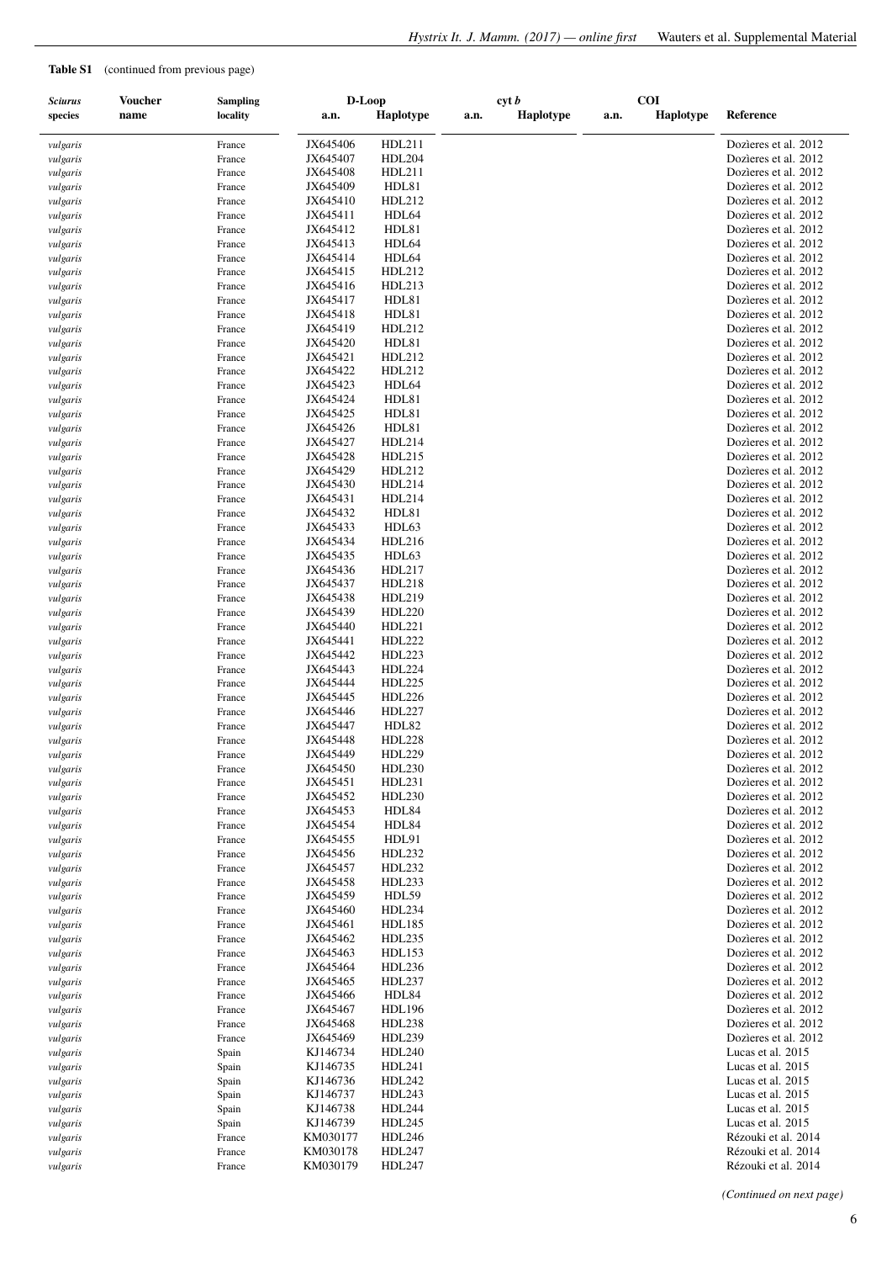| <b>Sciurus</b>       | Voucher | <b>Sampling</b>  |                      | D-Loop                  |      | cyt b            |      | <b>COI</b> |                                              |
|----------------------|---------|------------------|----------------------|-------------------------|------|------------------|------|------------|----------------------------------------------|
| species              | name    | locality         | a.n.                 | <b>Haplotype</b>        | a.n. | <b>Haplotype</b> | a.n. | Haplotype  | Reference                                    |
|                      |         |                  |                      |                         |      |                  |      |            |                                              |
| vulgaris             |         | France           | JX645406             | HDL211                  |      |                  |      |            | Dozieres et al. 2012                         |
| vulgaris             |         | France           | JX645407             | <b>HDL204</b>           |      |                  |      |            | Dozieres et al. 2012                         |
| vulgaris             |         | France           | JX645408             | HDL211                  |      |                  |      |            | Dozieres et al. 2012                         |
| vulgaris             |         | France           | JX645409             | HDL81                   |      |                  |      |            | Dozieres et al. 2012                         |
| vulgaris             |         | France           | JX645410             | HDL212                  |      |                  |      |            | Dozieres et al. 2012                         |
| vulgaris             |         | France           | JX645411             | HDL64                   |      |                  |      |            | Dozieres et al. 2012                         |
| vulgaris             |         | France           | JX645412             | HDL81                   |      |                  |      |            | Dozieres et al. 2012                         |
| vulgaris             |         | France           | JX645413             | HDL64                   |      |                  |      |            | Dozieres et al. 2012                         |
| vulgaris             |         | France           | JX645414             | HDL64                   |      |                  |      |            | Dozieres et al. 2012<br>Dozieres et al. 2012 |
| vulgaris             |         | France           | JX645415             | HDL212<br>HDL213        |      |                  |      |            | Dozieres et al. 2012                         |
| vulgaris             |         | France           | JX645416             | HDL81                   |      |                  |      |            | Dozieres et al. 2012                         |
| vulgaris<br>vulgaris |         | France<br>France | JX645417<br>JX645418 | HDL81                   |      |                  |      |            | Dozieres et al. 2012                         |
| vulgaris             |         | France           | JX645419             | HDL212                  |      |                  |      |            | Dozieres et al. 2012                         |
| vulgaris             |         | France           | JX645420             | HDL81                   |      |                  |      |            | Dozieres et al. 2012                         |
| vulgaris             |         | France           | JX645421             | HDL212                  |      |                  |      |            | Dozieres et al. 2012                         |
| vulgaris             |         | France           | JX645422             | HDL212                  |      |                  |      |            | Dozieres et al. 2012                         |
| vulgaris             |         | France           | JX645423             | HDL64                   |      |                  |      |            | Dozieres et al. 2012                         |
| vulgaris             |         | France           | JX645424             | HDL81                   |      |                  |      |            | Dozieres et al. 2012                         |
| vulgaris             |         | France           | JX645425             | HDL81                   |      |                  |      |            | Dozieres et al. 2012                         |
| vulgaris             |         | France           | JX645426             | HDL81                   |      |                  |      |            | Dozieres et al. 2012                         |
| vulgaris             |         | France           | JX645427             | HDL214                  |      |                  |      |            | Dozieres et al. 2012                         |
| vulgaris             |         | France           | JX645428             | HDL215                  |      |                  |      |            | Dozieres et al. 2012                         |
| vulgaris             |         | France           | JX645429             | HDL212                  |      |                  |      |            | Dozieres et al. 2012                         |
| vulgaris             |         | France           | JX645430             | HDL214                  |      |                  |      |            | Dozieres et al. 2012                         |
| vulgaris             |         | France           | JX645431             | HDL214                  |      |                  |      |            | Dozieres et al. 2012                         |
| vulgaris             |         | France           | JX645432             | HDL81                   |      |                  |      |            | Dozieres et al. 2012                         |
| vulgaris             |         | France           | JX645433             | HDL63                   |      |                  |      |            | Dozieres et al. 2012                         |
| vulgaris             |         | France           | JX645434             | HDL216                  |      |                  |      |            | Dozieres et al. 2012                         |
| vulgaris             |         | France           | JX645435             | HDL <sub>63</sub>       |      |                  |      |            | Dozieres et al. 2012                         |
| vulgaris             |         | France           | JX645436             | HDL217                  |      |                  |      |            | Dozieres et al. 2012                         |
| vulgaris             |         | France           | JX645437             | HDL218                  |      |                  |      |            | Dozieres et al. 2012                         |
| vulgaris             |         | France           | JX645438             | HDL219                  |      |                  |      |            | Dozieres et al. 2012                         |
| vulgaris             |         | France           | JX645439             | <b>HDL220</b>           |      |                  |      |            | Dozieres et al. 2012                         |
| vulgaris             |         | France           | JX645440             | HDL221                  |      |                  |      |            | Dozieres et al. 2012                         |
| vulgaris             |         | France           | JX645441             | <b>HDL222</b>           |      |                  |      |            | Dozieres et al. 2012                         |
| vulgaris             |         | France           | JX645442             | HDL223                  |      |                  |      |            | Dozieres et al. 2012                         |
| vulgaris             |         | France           | JX645443             | <b>HDL224</b>           |      |                  |      |            | Dozieres et al. 2012                         |
| vulgaris             |         | France           | JX645444             | HDL225                  |      |                  |      |            | Dozieres et al. 2012                         |
| vulgaris             |         | France           | JX645445             | HDL226                  |      |                  |      |            | Dozieres et al. 2012                         |
| vulgaris             |         | France           | JX645446             | <b>HDL227</b>           |      |                  |      |            | Dozieres et al. 2012                         |
| vulgaris             |         | France           | JX645447             | HDL82                   |      |                  |      |            | Dozieres et al. 2012                         |
| vulgaris             |         | France           | JX645448             | <b>HDL228</b>           |      |                  |      |            | Dozieres et al. 2012                         |
| vulgaris             |         | France           | JX645449             | HDL229                  |      |                  |      |            | Dozieres et al. 2012<br>Dozieres et al. 2012 |
| vulgaris             |         | France<br>France | JX645450             | HDL230<br><b>HDL231</b> |      |                  |      |            | Dozieres et al. 2012                         |
| vulgaris<br>vulgaris |         | France           | JX645451<br>JX645452 | <b>HDL230</b>           |      |                  |      |            | Dozieres et al. 2012                         |
| vulgaris             |         | France           | JX645453             | HDL84                   |      |                  |      |            | Dozieres et al. 2012                         |
| vulgaris             |         | France           | JX645454             | HDL84                   |      |                  |      |            | Dozieres et al. 2012                         |
| vulgaris             |         | France           | JX645455             | HDL91                   |      |                  |      |            | Dozieres et al. 2012                         |
| vulgaris             |         | France           | JX645456             | HDL232                  |      |                  |      |            | Dozieres et al. 2012                         |
| vulgaris             |         | France           | JX645457             | HDL232                  |      |                  |      |            | Dozieres et al. 2012                         |
| vulgaris             |         | France           | JX645458             | HDL233                  |      |                  |      |            | Dozieres et al. 2012                         |
| vulgaris             |         | France           | JX645459             | HDL59                   |      |                  |      |            | Dozieres et al. 2012                         |
| vulgaris             |         | France           | JX645460             | HDL234                  |      |                  |      |            | Dozieres et al. 2012                         |
| vulgaris             |         | France           | JX645461             | HDL185                  |      |                  |      |            | Dozieres et al. 2012                         |
| vulgaris             |         | France           | JX645462             | HDL235                  |      |                  |      |            | Dozieres et al. 2012                         |
| vulgaris             |         | France           | JX645463             | <b>HDL153</b>           |      |                  |      |            | Dozieres et al. 2012                         |
| vulgaris             |         | France           | JX645464             | HDL236                  |      |                  |      |            | Dozieres et al. 2012                         |
| vulgaris             |         | France           | JX645465             | HDL237                  |      |                  |      |            | Dozieres et al. 2012                         |
| vulgaris             |         | France           | JX645466             | HDL84                   |      |                  |      |            | Dozieres et al. 2012                         |
| vulgaris             |         | France           | JX645467             | <b>HDL196</b>           |      |                  |      |            | Dozieres et al. 2012                         |
| vulgaris             |         | France           | JX645468             | HDL238                  |      |                  |      |            | Dozieres et al. 2012                         |
| vulgaris             |         | France           | JX645469             | HDL239                  |      |                  |      |            | Dozieres et al. 2012                         |
| vulgaris             |         | Spain            | KJ146734             | <b>HDL240</b>           |      |                  |      |            | Lucas et al. 2015                            |
| vulgaris             |         | Spain            | KJ146735             | <b>HDL241</b>           |      |                  |      |            | Lucas et al. 2015                            |
| vulgaris             |         | Spain            | KJ146736             | HDL242                  |      |                  |      |            | Lucas et al. 2015                            |
| vulgaris             |         | Spain            | KJ146737             | HDL243                  |      |                  |      |            | Lucas et al. 2015                            |
| vulgaris             |         | Spain            | KJ146738             | HDL244                  |      |                  |      |            | Lucas et al. 2015                            |
| vulgaris             |         | Spain            | KJ146739             | HDL245                  |      |                  |      |            | Lucas et al. 2015                            |
| vulgaris             |         | France           | KM030177             | <b>HDL246</b>           |      |                  |      |            | Rézouki et al. 2014                          |
| vulgaris             |         | France           | KM030178             | <b>HDL247</b>           |      |                  |      |            | Rézouki et al. 2014                          |
| vulgaris             |         | France           | KM030179             | <b>HDL247</b>           |      |                  |      |            | Rézouki et al. 2014                          |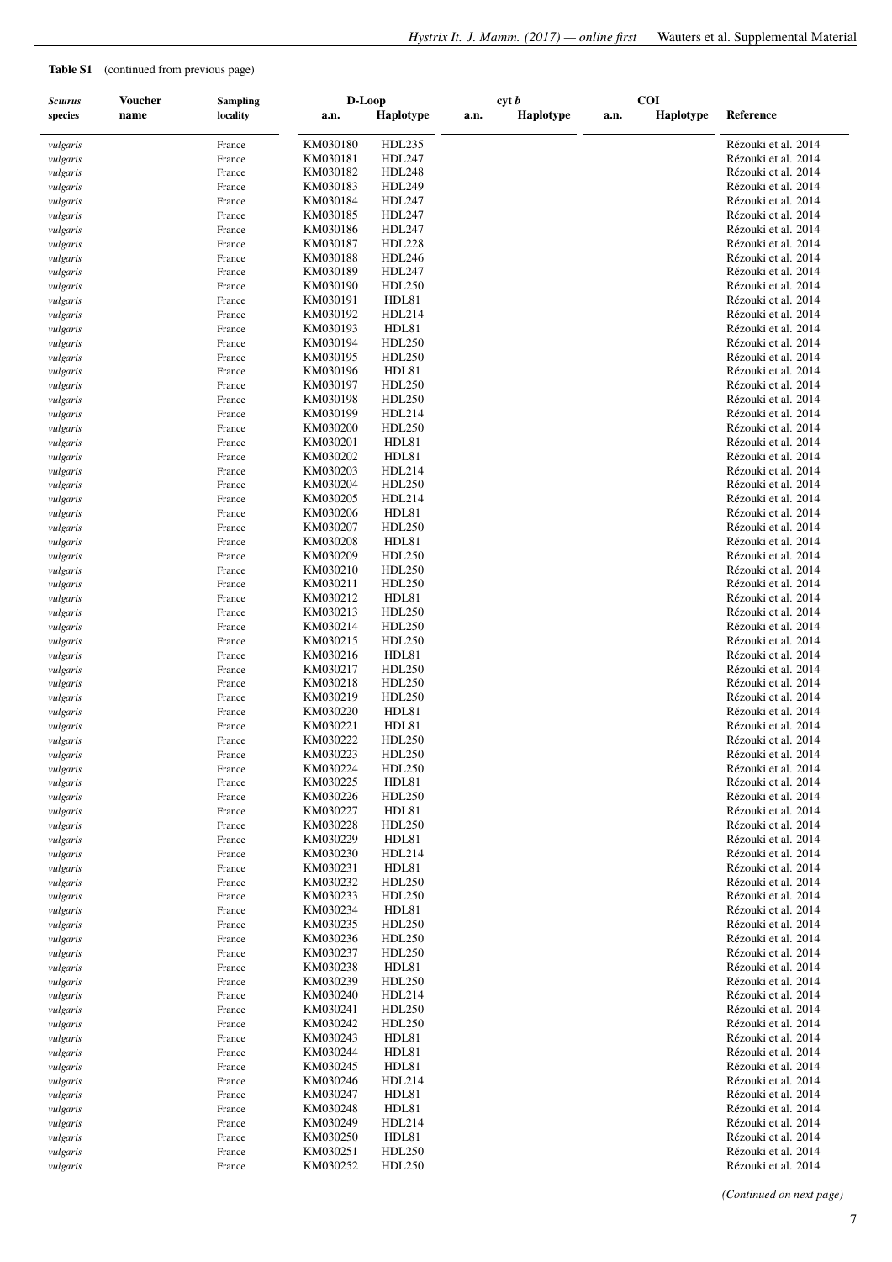| <b>Sciurus</b>       | <b>Voucher</b> | <b>Sampling</b>  | D-Loop               |                                |      | cyt b     |      | <b>COI</b>       |                                            |
|----------------------|----------------|------------------|----------------------|--------------------------------|------|-----------|------|------------------|--------------------------------------------|
| species              | name           | locality         | a.n.                 | <b>Haplotype</b>               | a.n. | Haplotype | a.n. | <b>Haplotype</b> | Reference                                  |
| vulgaris             |                | France           | KM030180             | HDL235                         |      |           |      |                  | Rézouki et al. 2014                        |
| vulgaris             |                | France           | KM030181             | <b>HDL247</b>                  |      |           |      |                  | Rézouki et al. 2014                        |
| vulgaris             |                | France           | KM030182             | <b>HDL248</b>                  |      |           |      |                  | Rézouki et al. 2014                        |
| vulgaris             |                | France           | KM030183             | <b>HDL249</b>                  |      |           |      |                  | Rézouki et al. 2014                        |
| vulgaris             |                | France           | KM030184             | <b>HDL247</b>                  |      |           |      |                  | Rézouki et al. 2014                        |
| vulgaris             |                | France           | KM030185             | HDL247                         |      |           |      |                  | Rézouki et al. 2014                        |
| vulgaris             |                | France           | KM030186             | HDL247                         |      |           |      |                  | Rézouki et al. 2014                        |
| vulgaris<br>vulgaris |                | France<br>France | KM030187<br>KM030188 | <b>HDL228</b><br><b>HDL246</b> |      |           |      |                  | Rézouki et al. 2014<br>Rézouki et al. 2014 |
| vulgaris             |                | France           | KM030189             | HDL247                         |      |           |      |                  | Rézouki et al. 2014                        |
| vulgaris             |                | France           | KM030190             | <b>HDL250</b>                  |      |           |      |                  | Rézouki et al. 2014                        |
| vulgaris             |                | France           | KM030191             | HDL81                          |      |           |      |                  | Rézouki et al. 2014                        |
| vulgaris             |                | France           | KM030192             | HDL214                         |      |           |      |                  | Rézouki et al. 2014                        |
| vulgaris             |                | France           | KM030193             | HDL81                          |      |           |      |                  | Rézouki et al. 2014                        |
| vulgaris             |                | France           | KM030194             | HDL250                         |      |           |      |                  | Rézouki et al. 2014                        |
| vulgaris             |                | France           | KM030195             | HDL250                         |      |           |      |                  | Rézouki et al. 2014                        |
| vulgaris             |                | France           | KM030196             | HDL81                          |      |           |      |                  | Rézouki et al. 2014                        |
| vulgaris<br>vulgaris |                | France<br>France | KM030197<br>KM030198 | HDL250<br><b>HDL250</b>        |      |           |      |                  | Rézouki et al. 2014<br>Rézouki et al. 2014 |
| vulgaris             |                | France           | KM030199             | HDL214                         |      |           |      |                  | Rézouki et al. 2014                        |
| vulgaris             |                | France           | KM030200             | HDL250                         |      |           |      |                  | Rézouki et al. 2014                        |
| vulgaris             |                | France           | KM030201             | HDL81                          |      |           |      |                  | Rézouki et al. 2014                        |
| vulgaris             |                | France           | KM030202             | HDL81                          |      |           |      |                  | Rézouki et al. 2014                        |
| vulgaris             |                | France           | KM030203             | HDL214                         |      |           |      |                  | Rézouki et al. 2014                        |
| vulgaris             |                | France           | KM030204             | HDL250                         |      |           |      |                  | Rézouki et al. 2014                        |
| vulgaris             |                | France           | KM030205             | HDL214                         |      |           |      |                  | Rézouki et al. 2014                        |
| vulgaris             |                | France           | KM030206             | HDL81                          |      |           |      |                  | Rézouki et al. 2014                        |
| vulgaris             |                | France           | KM030207             | <b>HDL250</b>                  |      |           |      |                  | Rézouki et al. 2014                        |
| vulgaris             |                | France           | KM030208             | HDL81                          |      |           |      |                  | Rézouki et al. 2014                        |
| vulgaris<br>vulgaris |                | France<br>France | KM030209<br>KM030210 | HDL250<br><b>HDL250</b>        |      |           |      |                  | Rézouki et al. 2014<br>Rézouki et al. 2014 |
| vulgaris             |                | France           | KM030211             | HDL250                         |      |           |      |                  | Rézouki et al. 2014                        |
| vulgaris             |                | France           | KM030212             | HDL81                          |      |           |      |                  | Rézouki et al. 2014                        |
| vulgaris             |                | France           | KM030213             | HDL250                         |      |           |      |                  | Rézouki et al. 2014                        |
| vulgaris             |                | France           | KM030214             | <b>HDL250</b>                  |      |           |      |                  | Rézouki et al. 2014                        |
| vulgaris             |                | France           | KM030215             | HDL250                         |      |           |      |                  | Rézouki et al. 2014                        |
| vulgaris             |                | France           | KM030216             | HDL81                          |      |           |      |                  | Rézouki et al. 2014                        |
| vulgaris             |                | France           | KM030217             | HDL250                         |      |           |      |                  | Rézouki et al. 2014                        |
| vulgaris             |                | France           | KM030218             | HDL250                         |      |           |      |                  | Rézouki et al. 2014<br>Rézouki et al. 2014 |
| vulgaris<br>vulgaris |                | France<br>France | KM030219<br>KM030220 | <b>HDL250</b><br>HDL81         |      |           |      |                  | Rézouki et al. 2014                        |
| vulgaris             |                | France           | KM030221             | HDL81                          |      |           |      |                  | Rézouki et al. 2014                        |
| vulgaris             |                | France           | KM030222             | HDL250                         |      |           |      |                  | Rézouki et al. 2014                        |
| vulgaris             |                | France           | KM030223             | <b>HDL250</b>                  |      |           |      |                  | Rézouki et al. 2014                        |
| vulgaris             |                | France           | KM030224             | HDL250                         |      |           |      |                  | Rézouki et al. 2014                        |
| vulgaris             |                | France           | KM030225             | HDL81                          |      |           |      |                  | Rézouki et al. 2014                        |
| vulgaris             |                | France           | KM030226             | HDL250                         |      |           |      |                  | Rézouki et al. 2014                        |
| vulgaris             |                | France           | KM030227             | HDL81                          |      |           |      |                  | Rézouki et al. 2014                        |
| vulgaris<br>vulgaris |                | France<br>France | KM030228<br>KM030229 | HDL250<br>HDL81                |      |           |      |                  | Rézouki et al. 2014<br>Rézouki et al. 2014 |
| vulgaris             |                | France           | KM030230             | HDL214                         |      |           |      |                  | Rézouki et al. 2014                        |
| vulgaris             |                | France           | KM030231             | HDL81                          |      |           |      |                  | Rézouki et al. 2014                        |
| vulgaris             |                | France           | KM030232             | HDL250                         |      |           |      |                  | Rézouki et al. 2014                        |
| vulgaris             |                | France           | KM030233             | HDL250                         |      |           |      |                  | Rézouki et al. 2014                        |
| vulgaris             |                | France           | KM030234             | HDL81                          |      |           |      |                  | Rézouki et al. 2014                        |
| vulgaris             |                | France           | KM030235             | HDL250                         |      |           |      |                  | Rézouki et al. 2014                        |
| vulgaris             |                | France           | KM030236             | HDL250                         |      |           |      |                  | Rézouki et al. 2014                        |
| vulgaris             |                | France           | KM030237<br>KM030238 | HDL250<br>HDL81                |      |           |      |                  | Rézouki et al. 2014<br>Rézouki et al. 2014 |
| vulgaris<br>vulgaris |                | France<br>France | KM030239             | HDL250                         |      |           |      |                  | Rézouki et al. 2014                        |
| vulgaris             |                | France           | KM030240             | HDL214                         |      |           |      |                  | Rézouki et al. 2014                        |
| vulgaris             |                | France           | KM030241             | HDL250                         |      |           |      |                  | Rézouki et al. 2014                        |
| vulgaris             |                | France           | KM030242             | HDL250                         |      |           |      |                  | Rézouki et al. 2014                        |
| vulgaris             |                | France           | KM030243             | HDL81                          |      |           |      |                  | Rézouki et al. 2014                        |
| vulgaris             |                | France           | KM030244             | HDL81                          |      |           |      |                  | Rézouki et al. 2014                        |
| vulgaris             |                | France           | KM030245             | HDL81                          |      |           |      |                  | Rézouki et al. 2014                        |
| vulgaris             |                | France           | KM030246             | HDL214                         |      |           |      |                  | Rézouki et al. 2014                        |
| vulgaris             |                | France           | KM030247             | HDL81                          |      |           |      |                  | Rézouki et al. 2014                        |
| vulgaris             |                | France           | KM030248             | HDL81                          |      |           |      |                  | Rézouki et al. 2014                        |
| vulgaris<br>vulgaris |                | France<br>France | KM030249<br>KM030250 | HDL214<br>HDL81                |      |           |      |                  | Rézouki et al. 2014<br>Rézouki et al. 2014 |
| vulgaris             |                | France           | KM030251             | HDL250                         |      |           |      |                  | Rézouki et al. 2014                        |
| vulgaris             |                | France           | KM030252             | HDL250                         |      |           |      |                  | Rézouki et al. 2014                        |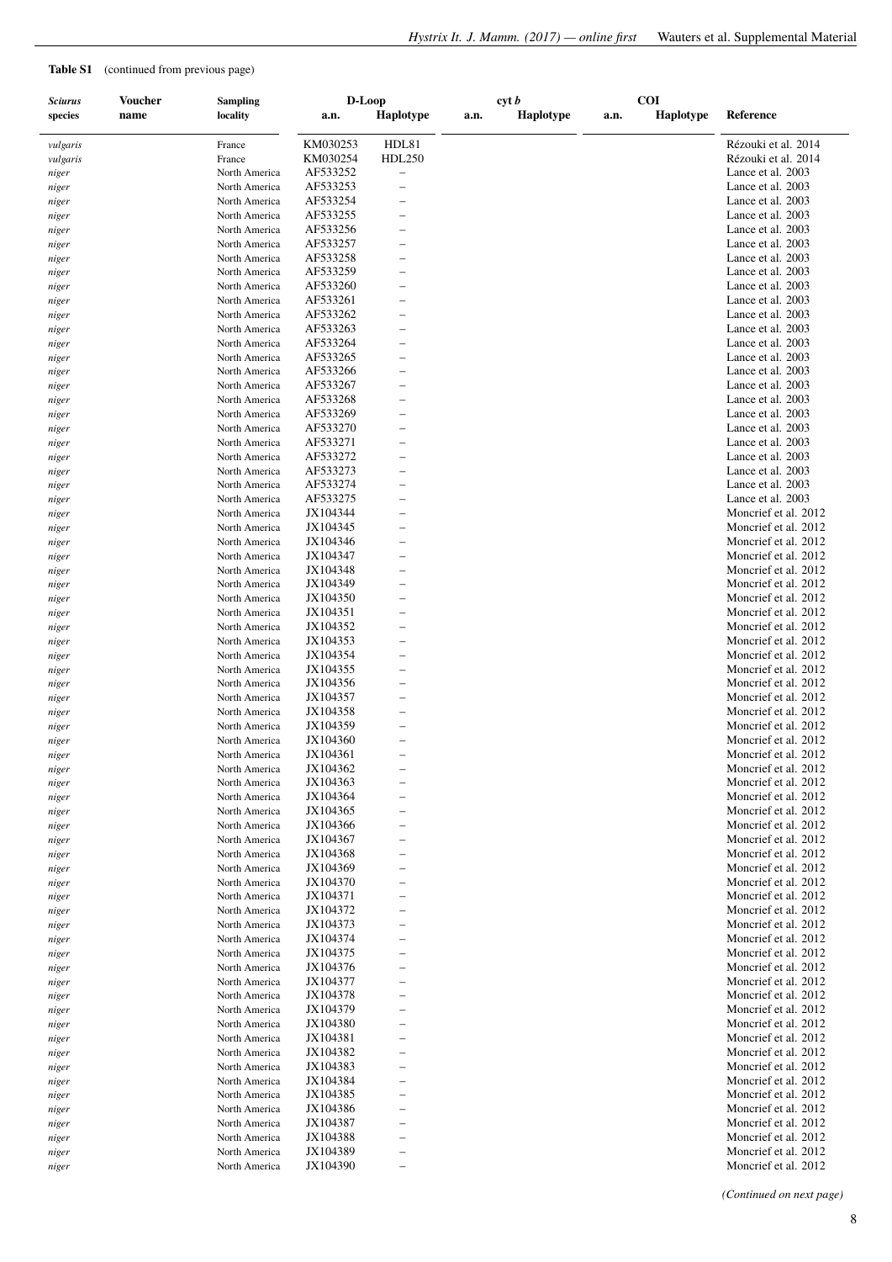#### *Sciurus* **Voucher Sampling D-Loop cyt** *b* **COI species name locality a.n. Haplotype a.n. Haplotype a.n. Haplotype Reference** *vulgaris* **France KM030253 HDL81** Rézouki et al. 2014 *vulgaris* France KM030254 HDL250 Rézouki et al. 2014<br> *niger* Reader North America AF533252 – *niger* Lance et al. 2003 North America AF533252 – Cance et al. 2003 *niger* Lance et al. 2003 – North America AF533253 – Lance et al. 2003 *niger* Lance et al. 2003 North America AF533254 – Lance et al. 2003 *niger* Lance et al. 2003 North America AF533255 – Cancellation and the Lance et al. 2003 *niger* Lance et al. 2003 North America AF533256 – Lance et al. 2003 *niger* Lance et al. 2003 North America AF533257 – *niger* Lance et al. 2003 – North America AF533258 – Lance et al. 2003 *niger* Lance et al. 2003 – North America AF533259 – Lance et al. 2003 *niger* Lance et al. 2003 – North America AF533260 – Lance et al. 2003 *niger* Lance et al. 2003 North America AF533261 – Lance et al. 2003 *niger* Lance et al. 2003 – North America AF533262 – Lance et al. 2003 *niger* Lance et al. 2003 – North America AF533263 – Lance et al. 2003 *niger* Lance et al. 2003 North America AF533264 – Lance et al. 2003 *niger* Lance et al. 2003 – North America AF533265 – Lance et al. 2003 *niger* Lance et al. 2003 North America AF533266 – Lance et al. 2003 *niger* a control North America AF533267 – Lance et al. 2003<br>
1. North America AF533268 – Lance et al. 2003 *niger* Lance et al. 2003 – North America AF533268 – Lance et al. 2003 *niger* Lance et al. 2003 – North America AF533269 – Lance et al. 2003 *niger* a a North America AF533270 – Lance et al. 2003<br>
North America AF533271 – Lance et al. 2003 *niger* Lance et al. 2003 North America AF533271 – *niger* Lance et al. 2003 North America AF533272 – Cancellation and the Lance et al. 2003 *niger* Lance et al. 2003 – North America AF533273 – Lance et al. 2003 *niger* Lance et al. 2003 North America AF533274 – Lance et al. 2003 *niger* a a North America AF533275 – Lance et al. 2003<br>
North America JX104344 – Moncrief et al. 2003 *niger* Moncrief et al. 2012 North America JX104344 – Moncrief et al. 2012 *niger* Moncrief et al. 2012 North America JX104345 – Moncrief et al. 2012 *niger* Moncrief et al. 2012 North America JX104346 – Moncrief et al. 2012 *niger* Moncrief et al. 2012<br> **1998** North America 1X104347 – Moncrief et al. 2012<br>
North America 1X104348 – Moncrief et al. 2012 *niger* Moncrief et al. 2012 North America JX104348 – Moncrief et al. 2012 *niger* Moncrief et al. 2012<br> **North America** JX104349 – *niger* Moncrief et al. 2012<br> **North America** JX104350 – *niger* Moncrief et al. 2012<br> **North America** JX104352 – Moncrief et al. 2012<br>
North America JX104352 – *niger* Moncrief et al. 2012 – Moncrief et al. 2012 *niger* Moncrief et al. 2012 North America JX104353 – *niger* Moncrief et al. 2012 North America JX104354 – Moncrief et al. 2012 *niger* Moncrief et al. 2012<br> **North America** JX104355 – Moncrief et al. 2012<br>
North America JX104356 – Moncrief et al. 2012 *niger* Moncrief et al. 2012<br>
North America 1X104357 – Moncrief et al. 2012<br>
North America 1X104357 – Moncrief et al. 2012 *niger* Moncrief et al. 2012<br>
North America 1X104358 – Moncrief et al. 2012<br>
North America 1X104358 – Moncrief et al. 2012 *niger* Moncrief et al. 2012 *niger* Moncrief et al. 2012<br>
North America 1990<br>
North America 1990<br>
North America 1990<br>
North America 1990<br>
North America 1990 *niger* Moncrief et al. 2012 Moncrief et al. 2012 *niger* Moncrief et al. 2012 North America JX104361 – Channel America and America Moncrief et al. 2012 *niger* Moncrief et al. 2012 Moncrief et al. 2012 *niger* Moncrief et al. 2012<br> **North America** JX104364 – Moncrief et al. 2012<br>
North America JX104364 – Moncrief et al. 2012 *niger* Moncrief et al. 2012<br>
North America 1X104365 – Moncrief et al. 2012<br>
North America 1X104365 – Moncrief et al. 2012 *niger* Moncrief et al. 2012 North America JX104365 – Moncrief et al. 2012 *niger* Moncrief et al. 2012 North America JX104366 – Moncrief et al. 2012 *niger* North America JX104367 – Moncrief et al. 2012 *niger* Moncrief et al. 2012 North America JX104368 – Moncrief et al. 2012 *niger* Moncrief et al. 2012 North America JX104369 – Channel America and America Moncrief et al. 2012 *niger* Moncrief et al. 2012 North America JX104370 – *niger* Moncrief et al. 2012<br> **North America** JX104371 – *niger* Moncrief et al. 2012<br> **1998** North America 1X104373 – Moncrief et al. 2012<br>
Moncrief et al. 2012 *niger* Moncrief et al. 2012 North America JX104373 – *niger* Moncrief et al. 2012 Moncrief et al. 2012 *niger* Moncrief et al. 2012 North America JX104375 – *niger* Moncrief et al. 2012<br> **1998** North America 1X104377 – Moncrief et al. 2012<br>
Moncrief et al. 2012 *niger* Moncrief et al. 2012 North America JX104377 – Theory of the Moncrief et al. 2012 *niger* Moncrief et al. 2012 North America JX104378 – Channel America and America Moncrief et al. 2012 *niger* Moncrief et al. 2012 North America JX104379 – America and America and America and America and America and America and America and America and America and America and America and America and America and America and *niger* Moncrief et al. 2012<br>
North America 1997 - Moncrief et al. 2012<br>
North America 1997 - Moncrief et al. 2012 *niger* Moncrief et al. 2012 North America JX104381 – Moncrief et al. 2012 *niger* Moncrief et al. 2012<br> **1998** North America 1X104382 – Moncrief et al. 2012<br>
North America 1X104383 – *niger* Moncrief et al. 2012 North America JX104383 – *niger* Moncrief et al. 2012 Moncrief et al. 2012 *niger* Moncrief et al. 2012 North America JX104385 – Theory of the Moncrief et al. 2012 *niger* Moncrief et al. 2012 North America JX104386 – Channel America and America Moncrief et al. 2012 *niger* Moncrief et al. 2012<br>
Moncrief et al. 2012 *niger* Moncrief et al. 2012 North America JX104388 – Theory of the Moncrief et al. 2012 *niger* Moncrief et al. 2012 North America JX104389 – Moncrief et al. 2012 *niger* Moncrief et al. 2012 Moncrief et al. 2012

**Table S1** (continued from previous page)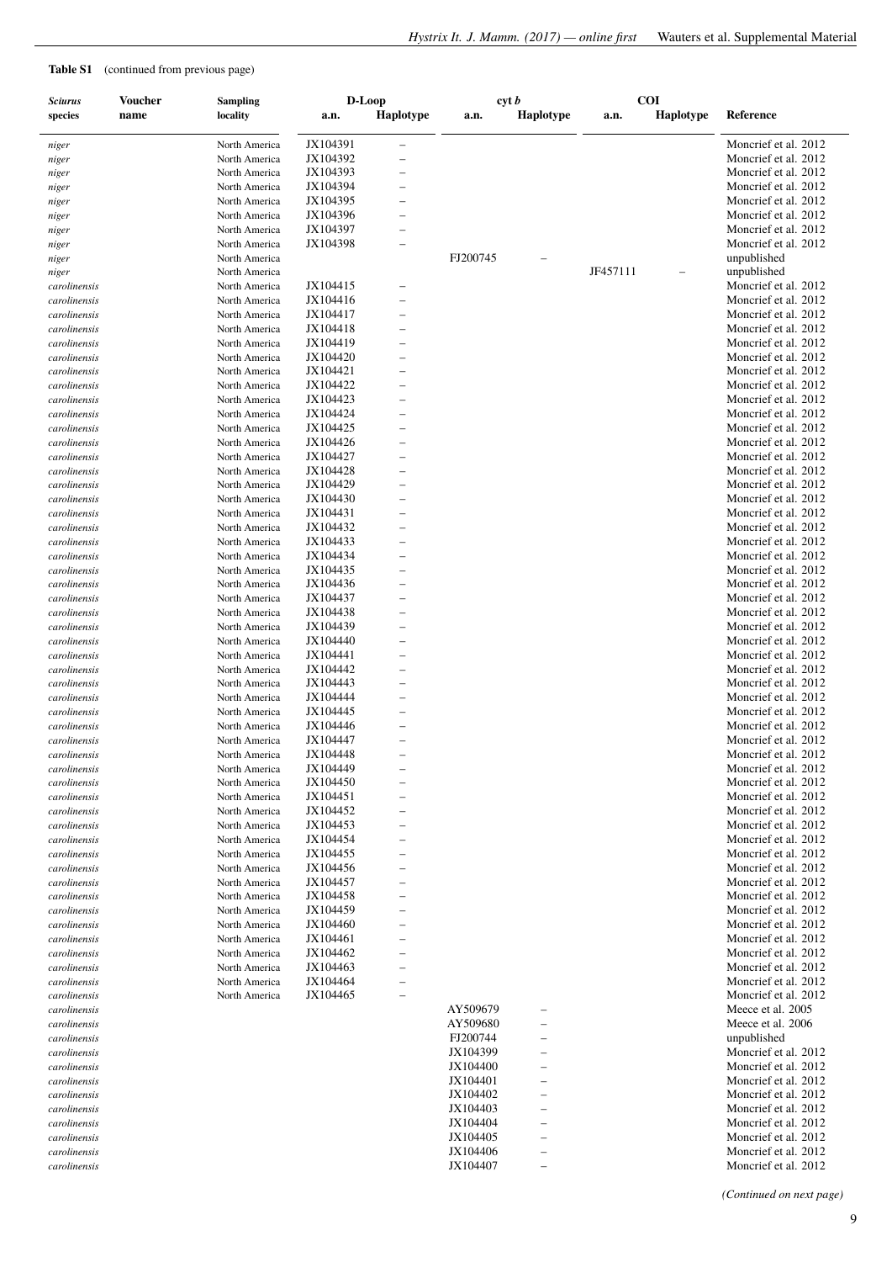| <b>Table S1</b> |  | (continued from previous page) |  |
|-----------------|--|--------------------------------|--|
|-----------------|--|--------------------------------|--|

| <b>Sciurus</b> | <b>Voucher</b> | <b>Sampling</b> |          | D-Loop                   | cyt b    |                          |          | <b>COI</b>       |                      |
|----------------|----------------|-----------------|----------|--------------------------|----------|--------------------------|----------|------------------|----------------------|
| species        | name           | locality        | a.n.     | <b>Haplotype</b>         | a.n.     | <b>Haplotype</b>         | a.n.     | <b>Haplotype</b> | Reference            |
|                |                |                 |          |                          |          |                          |          |                  |                      |
|                |                |                 | JX104391 | $\overline{\phantom{0}}$ |          |                          |          |                  | Moncrief et al. 2012 |
| niger          |                | North America   |          |                          |          |                          |          |                  |                      |
| niger          |                | North America   | JX104392 | $\overline{\phantom{0}}$ |          |                          |          |                  | Moncrief et al. 2012 |
| niger          |                | North America   | JX104393 |                          |          |                          |          |                  | Moncrief et al. 2012 |
| niger          |                | North America   | JX104394 |                          |          |                          |          |                  | Moncrief et al. 2012 |
| niger          |                | North America   | JX104395 | $\overline{\phantom{0}}$ |          |                          |          |                  | Moncrief et al. 2012 |
| niger          |                | North America   | JX104396 |                          |          |                          |          |                  | Moncrief et al. 2012 |
| niger          |                | North America   | JX104397 | $\qquad \qquad -$        |          |                          |          |                  | Moncrief et al. 2012 |
| niger          |                | North America   | JX104398 | $\overline{\phantom{a}}$ |          |                          |          |                  | Moncrief et al. 2012 |
| niger          |                | North America   |          |                          | FJ200745 |                          |          |                  | unpublished          |
| niger          |                | North America   |          |                          |          |                          | JF457111 |                  | unpublished          |
| carolinensis   |                | North America   | JX104415 |                          |          |                          |          |                  | Moncrief et al. 2012 |
| carolinensis   |                | North America   | JX104416 | $\qquad \qquad -$        |          |                          |          |                  | Moncrief et al. 2012 |
| carolinensis   |                | North America   | JX104417 |                          |          |                          |          |                  | Moncrief et al. 2012 |
|                |                |                 | JX104418 |                          |          |                          |          |                  | Moncrief et al. 2012 |
| carolinensis   |                | North America   |          |                          |          |                          |          |                  |                      |
| carolinensis   |                | North America   | JX104419 |                          |          |                          |          |                  | Moncrief et al. 2012 |
| carolinensis   |                | North America   | JX104420 |                          |          |                          |          |                  | Moncrief et al. 2012 |
| carolinensis   |                | North America   | JX104421 |                          |          |                          |          |                  | Moncrief et al. 2012 |
| carolinensis   |                | North America   | JX104422 |                          |          |                          |          |                  | Moncrief et al. 2012 |
| carolinensis   |                | North America   | JX104423 |                          |          |                          |          |                  | Moncrief et al. 2012 |
| carolinensis   |                | North America   | JX104424 |                          |          |                          |          |                  | Moncrief et al. 2012 |
| carolinensis   |                | North America   | JX104425 | $\overline{\phantom{0}}$ |          |                          |          |                  | Moncrief et al. 2012 |
| carolinensis   |                | North America   | JX104426 |                          |          |                          |          |                  | Moncrief et al. 2012 |
| carolinensis   |                | North America   | JX104427 | $\overline{\phantom{0}}$ |          |                          |          |                  | Moncrief et al. 2012 |
| carolinensis   |                | North America   | JX104428 | $\overline{\phantom{0}}$ |          |                          |          |                  | Moncrief et al. 2012 |
| carolinensis   |                | North America   | JX104429 |                          |          |                          |          |                  | Moncrief et al. 2012 |
|                |                |                 |          |                          |          |                          |          |                  |                      |
| carolinensis   |                | North America   | JX104430 | $\overline{\phantom{0}}$ |          |                          |          |                  | Moncrief et al. 2012 |
| carolinensis   |                | North America   | JX104431 |                          |          |                          |          |                  | Moncrief et al. 2012 |
| carolinensis   |                | North America   | JX104432 |                          |          |                          |          |                  | Moncrief et al. 2012 |
| carolinensis   |                | North America   | JX104433 |                          |          |                          |          |                  | Moncrief et al. 2012 |
| carolinensis   |                | North America   | JX104434 | $\overline{\phantom{a}}$ |          |                          |          |                  | Moncrief et al. 2012 |
| carolinensis   |                | North America   | JX104435 | $\overline{\phantom{0}}$ |          |                          |          |                  | Moncrief et al. 2012 |
| carolinensis   |                | North America   | JX104436 |                          |          |                          |          |                  | Moncrief et al. 2012 |
| carolinensis   |                | North America   | JX104437 | $\overline{\phantom{0}}$ |          |                          |          |                  | Moncrief et al. 2012 |
| carolinensis   |                | North America   | JX104438 |                          |          |                          |          |                  | Moncrief et al. 2012 |
| carolinensis   |                | North America   | JX104439 |                          |          |                          |          |                  | Moncrief et al. 2012 |
| carolinensis   |                | North America   | JX104440 |                          |          |                          |          |                  | Moncrief et al. 2012 |
|                |                |                 |          |                          |          |                          |          |                  | Moncrief et al. 2012 |
| carolinensis   |                | North America   | JX104441 | $\overline{\phantom{0}}$ |          |                          |          |                  |                      |
| carolinensis   |                | North America   | JX104442 | $\qquad \qquad -$        |          |                          |          |                  | Moncrief et al. 2012 |
| carolinensis   |                | North America   | JX104443 | $\overline{\phantom{0}}$ |          |                          |          |                  | Moncrief et al. 2012 |
| carolinensis   |                | North America   | JX104444 |                          |          |                          |          |                  | Moncrief et al. 2012 |
| carolinensis   |                | North America   | JX104445 |                          |          |                          |          |                  | Moncrief et al. 2012 |
| carolinensis   |                | North America   | JX104446 | $\overline{\phantom{0}}$ |          |                          |          |                  | Moncrief et al. 2012 |
| carolinensis   |                | North America   | JX104447 | $\overline{\phantom{0}}$ |          |                          |          |                  | Moncrief et al. 2012 |
| carolinensis   |                | North America   | JX104448 |                          |          |                          |          |                  | Moncrief et al. 2012 |
| carolinensis   |                | North America   | JX104449 |                          |          |                          |          |                  | Moncrief et al. 2012 |
| carolinensis   |                | North America   | JX104450 |                          |          |                          |          |                  | Moncrief et al. 2012 |
| carolinensis   |                | North America   | JX104451 |                          |          |                          |          |                  | Moncrief et al. 2012 |
| carolinensis   |                | North America   | JX104452 |                          |          |                          |          |                  | Moncrief et al. 2012 |
|                |                |                 | JX104453 |                          |          |                          |          |                  | Moncrief et al. 2012 |
| carolinensis   |                | North America   |          |                          |          |                          |          |                  |                      |
| carolinensis   |                | North America   | JX104454 |                          |          |                          |          |                  | Moncrief et al. 2012 |
| carolinensis   |                | North America   | JX104455 |                          |          |                          |          |                  | Moncrief et al. 2012 |
| carolinensis   |                | North America   | JX104456 |                          |          |                          |          |                  | Moncrief et al. 2012 |
| carolinensis   |                | North America   | JX104457 |                          |          |                          |          |                  | Moncrief et al. 2012 |
| carolinensis   |                | North America   | JX104458 |                          |          |                          |          |                  | Moncrief et al. 2012 |
| carolinensis   |                | North America   | JX104459 |                          |          |                          |          |                  | Moncrief et al. 2012 |
| carolinensis   |                | North America   | JX104460 |                          |          |                          |          |                  | Moncrief et al. 2012 |
| carolinensis   |                | North America   | JX104461 |                          |          |                          |          |                  | Moncrief et al. 2012 |
| carolinensis   |                | North America   | JX104462 |                          |          |                          |          |                  | Moncrief et al. 2012 |
| carolinensis   |                | North America   | JX104463 |                          |          |                          |          |                  | Moncrief et al. 2012 |
| carolinensis   |                | North America   | JX104464 |                          |          |                          |          |                  | Moncrief et al. 2012 |
|                |                |                 |          |                          |          |                          |          |                  |                      |
| carolinensis   |                | North America   | JX104465 | $\overline{\phantom{0}}$ |          |                          |          |                  | Moncrief et al. 2012 |
| carolinensis   |                |                 |          |                          | AY509679 |                          |          |                  | Meece et al. 2005    |
| carolinensis   |                |                 |          |                          | AY509680 |                          |          |                  | Meece et al. 2006    |
| carolinensis   |                |                 |          |                          | FJ200744 |                          |          |                  | unpublished          |
| carolinensis   |                |                 |          |                          | JX104399 |                          |          |                  | Moncrief et al. 2012 |
| carolinensis   |                |                 |          |                          | JX104400 | $\overline{\phantom{0}}$ |          |                  | Moncrief et al. 2012 |
| carolinensis   |                |                 |          |                          | JX104401 |                          |          |                  | Moncrief et al. 2012 |
| carolinensis   |                |                 |          |                          | JX104402 | $\overline{\phantom{0}}$ |          |                  | Moncrief et al. 2012 |
| carolinensis   |                |                 |          |                          | JX104403 |                          |          |                  | Moncrief et al. 2012 |
| carolinensis   |                |                 |          |                          | JX104404 | -                        |          |                  | Moncrief et al. 2012 |
| carolinensis   |                |                 |          |                          | JX104405 | $\overline{\phantom{0}}$ |          |                  | Moncrief et al. 2012 |
|                |                |                 |          |                          | JX104406 | $\overline{\phantom{0}}$ |          |                  | Moncrief et al. 2012 |
| carolinensis   |                |                 |          |                          |          |                          |          |                  |                      |
| carolinensis   |                |                 |          |                          | JX104407 | $\qquad \qquad -$        |          |                  | Moncrief et al. 2012 |